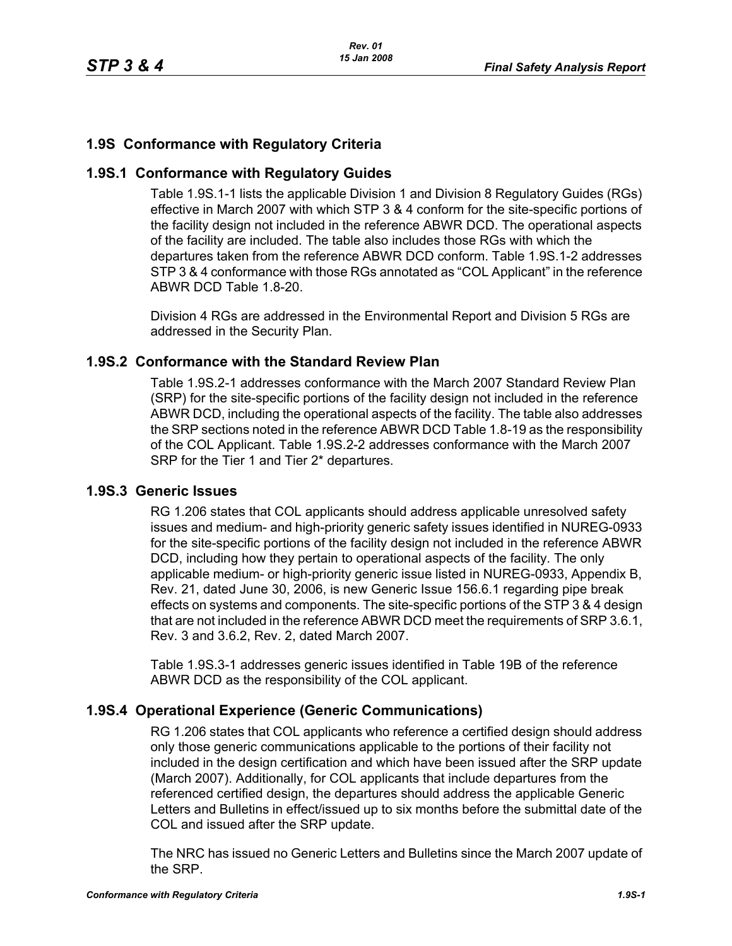# **1.9S Conformance with Regulatory Criteria**

### **1.9S.1 Conformance with Regulatory Guides**

Table 1.9S.1-1 lists the applicable Division 1 and Division 8 Regulatory Guides (RGs) effective in March 2007 with which STP 3 & 4 conform for the site-specific portions of the facility design not included in the reference ABWR DCD. The operational aspects of the facility are included. The table also includes those RGs with which the departures taken from the reference ABWR DCD conform. Table 1.9S.1-2 addresses STP 3 & 4 conformance with those RGs annotated as "COL Applicant" in the reference ABWR DCD Table 1.8-20.

Division 4 RGs are addressed in the Environmental Report and Division 5 RGs are addressed in the Security Plan.

## **1.9S.2 Conformance with the Standard Review Plan**

Table 1.9S.2-1 addresses conformance with the March 2007 Standard Review Plan (SRP) for the site-specific portions of the facility design not included in the reference ABWR DCD, including the operational aspects of the facility. The table also addresses the SRP sections noted in the reference ABWR DCD Table 1.8-19 as the responsibility of the COL Applicant. Table 1.9S.2-2 addresses conformance with the March 2007 SRP for the Tier 1 and Tier 2\* departures.

#### **1.9S.3 Generic Issues**

RG 1.206 states that COL applicants should address applicable unresolved safety issues and medium- and high-priority generic safety issues identified in NUREG-0933 for the site-specific portions of the facility design not included in the reference ABWR DCD, including how they pertain to operational aspects of the facility. The only applicable medium- or high-priority generic issue listed in NUREG-0933, Appendix B, Rev. 21, dated June 30, 2006, is new Generic Issue 156.6.1 regarding pipe break effects on systems and components. The site-specific portions of the STP 3 & 4 design that are not included in the reference ABWR DCD meet the requirements of SRP 3.6.1, Rev. 3 and 3.6.2, Rev. 2, dated March 2007.

Table 1.9S.3-1 addresses generic issues identified in Table 19B of the reference ABWR DCD as the responsibility of the COL applicant.

#### **1.9S.4 Operational Experience (Generic Communications)**

RG 1.206 states that COL applicants who reference a certified design should address only those generic communications applicable to the portions of their facility not included in the design certification and which have been issued after the SRP update (March 2007). Additionally, for COL applicants that include departures from the referenced certified design, the departures should address the applicable Generic Letters and Bulletins in effect/issued up to six months before the submittal date of the COL and issued after the SRP update.

The NRC has issued no Generic Letters and Bulletins since the March 2007 update of the SRP.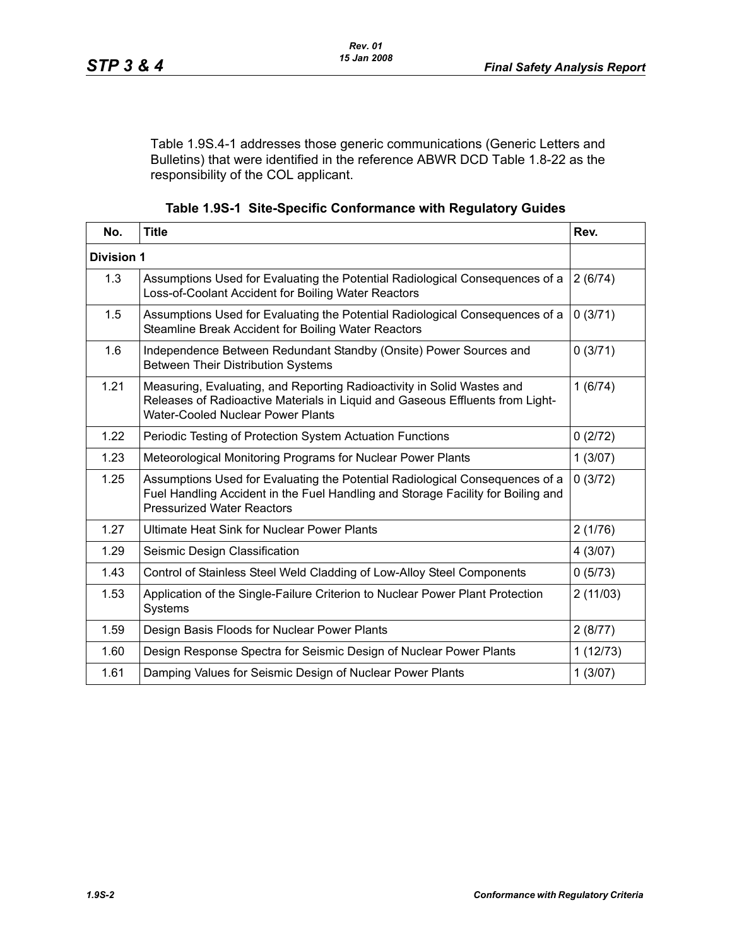Table 1.9S.4-1 addresses those generic communications (Generic Letters and Bulletins) that were identified in the reference ABWR DCD Table 1.8-22 as the responsibility of the COL applicant.

| Table 1.9S-1 Site-Specific Conformance with Regulatory Guides |  |  |  |  |
|---------------------------------------------------------------|--|--|--|--|
|---------------------------------------------------------------|--|--|--|--|

| No.               | <b>Title</b>                                                                                                                                                                                          | Rev.     |
|-------------------|-------------------------------------------------------------------------------------------------------------------------------------------------------------------------------------------------------|----------|
| <b>Division 1</b> |                                                                                                                                                                                                       |          |
| 1.3               | Assumptions Used for Evaluating the Potential Radiological Consequences of a<br>Loss-of-Coolant Accident for Boiling Water Reactors                                                                   | 2(6/74)  |
| 1.5               | Assumptions Used for Evaluating the Potential Radiological Consequences of a<br>Steamline Break Accident for Boiling Water Reactors                                                                   | 0(3/71)  |
| 1.6               | Independence Between Redundant Standby (Onsite) Power Sources and<br><b>Between Their Distribution Systems</b>                                                                                        | 0(3/71)  |
| 1.21              | Measuring, Evaluating, and Reporting Radioactivity in Solid Wastes and<br>Releases of Radioactive Materials in Liquid and Gaseous Effluents from Light-<br><b>Water-Cooled Nuclear Power Plants</b>   | 1(6/74)  |
| 1.22              | Periodic Testing of Protection System Actuation Functions                                                                                                                                             | 0(2/72)  |
| 1.23              | Meteorological Monitoring Programs for Nuclear Power Plants                                                                                                                                           | 1(3/07)  |
| 1.25              | Assumptions Used for Evaluating the Potential Radiological Consequences of a<br>Fuel Handling Accident in the Fuel Handling and Storage Facility for Boiling and<br><b>Pressurized Water Reactors</b> | 0(3/72)  |
| 1.27              | <b>Ultimate Heat Sink for Nuclear Power Plants</b>                                                                                                                                                    | 2(1/76)  |
| 1.29              | Seismic Design Classification                                                                                                                                                                         | 4(3/07)  |
| 1.43              | Control of Stainless Steel Weld Cladding of Low-Alloy Steel Components                                                                                                                                | 0(5/73)  |
| 1.53              | Application of the Single-Failure Criterion to Nuclear Power Plant Protection<br>Systems                                                                                                              | 2(11/03) |
| 1.59              | Design Basis Floods for Nuclear Power Plants                                                                                                                                                          | 2(8/77)  |
| 1.60              | Design Response Spectra for Seismic Design of Nuclear Power Plants                                                                                                                                    | 1(12/73) |
| 1.61              | Damping Values for Seismic Design of Nuclear Power Plants                                                                                                                                             | 1(3/07)  |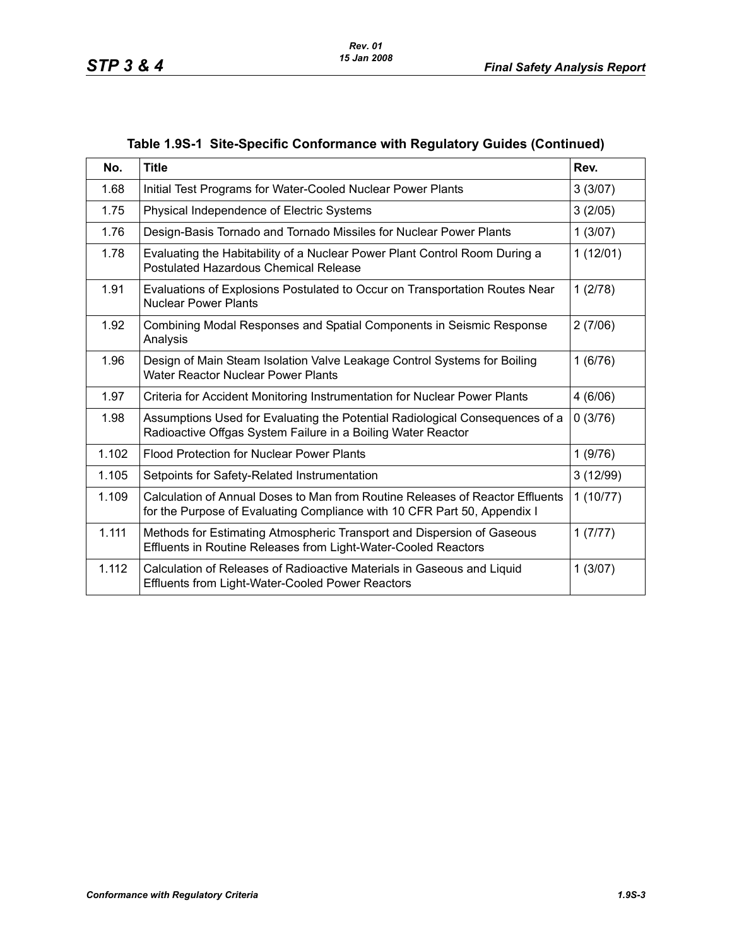| No.   | <b>Title</b>                                                                                                                                              | Rev.     |
|-------|-----------------------------------------------------------------------------------------------------------------------------------------------------------|----------|
| 1.68  | Initial Test Programs for Water-Cooled Nuclear Power Plants                                                                                               | 3(3/07)  |
| 1.75  | Physical Independence of Electric Systems                                                                                                                 | 3(2/05)  |
| 1.76  | Design-Basis Tornado and Tornado Missiles for Nuclear Power Plants                                                                                        | 1(3/07)  |
| 1.78  | Evaluating the Habitability of a Nuclear Power Plant Control Room During a<br>Postulated Hazardous Chemical Release                                       | 1(12/01) |
| 1.91  | Evaluations of Explosions Postulated to Occur on Transportation Routes Near<br><b>Nuclear Power Plants</b>                                                | 1(2/78)  |
| 1.92  | Combining Modal Responses and Spatial Components in Seismic Response<br>Analysis                                                                          | 2(7/06)  |
| 1.96  | Design of Main Steam Isolation Valve Leakage Control Systems for Boiling<br><b>Water Reactor Nuclear Power Plants</b>                                     | 1(6/76)  |
| 1.97  | Criteria for Accident Monitoring Instrumentation for Nuclear Power Plants                                                                                 | 4(6/06)  |
| 1.98  | Assumptions Used for Evaluating the Potential Radiological Consequences of a<br>Radioactive Offgas System Failure in a Boiling Water Reactor              | 0(3/76)  |
| 1.102 | <b>Flood Protection for Nuclear Power Plants</b>                                                                                                          | 1(9/76)  |
| 1.105 | Setpoints for Safety-Related Instrumentation                                                                                                              | 3(12/99) |
| 1.109 | Calculation of Annual Doses to Man from Routine Releases of Reactor Effluents<br>for the Purpose of Evaluating Compliance with 10 CFR Part 50, Appendix I | 1(10/77) |
| 1.111 | Methods for Estimating Atmospheric Transport and Dispersion of Gaseous<br>Effluents in Routine Releases from Light-Water-Cooled Reactors                  | 1(7/77)  |
| 1.112 | Calculation of Releases of Radioactive Materials in Gaseous and Liquid<br><b>Effluents from Light-Water-Cooled Power Reactors</b>                         | 1(3/07)  |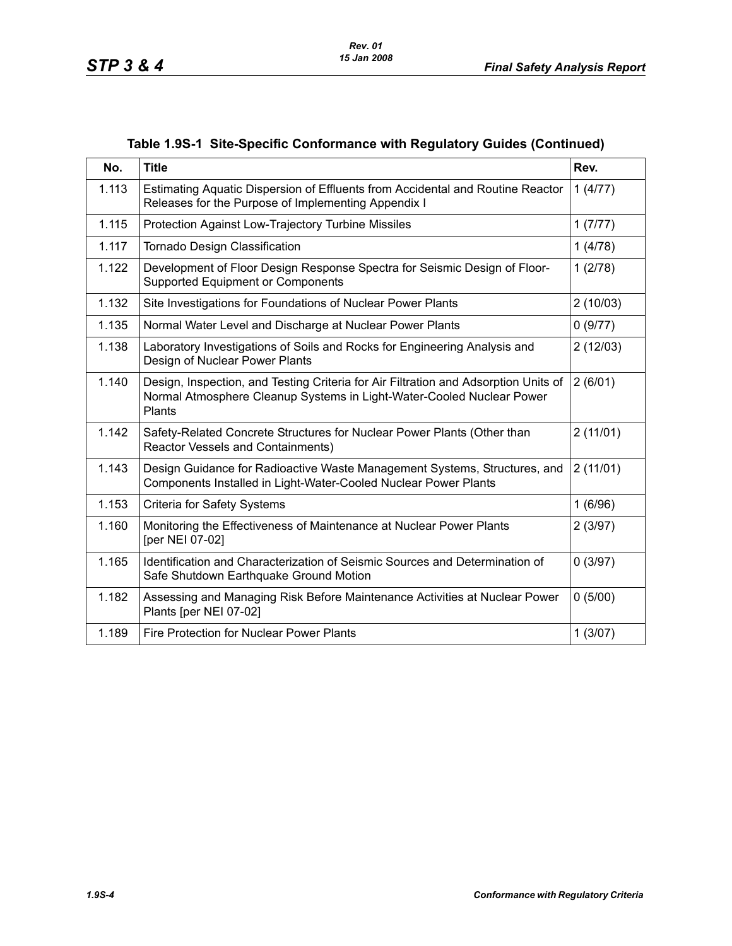| No.   | <b>Title</b>                                                                                                                                                           | Rev.     |
|-------|------------------------------------------------------------------------------------------------------------------------------------------------------------------------|----------|
| 1.113 | Estimating Aquatic Dispersion of Effluents from Accidental and Routine Reactor<br>Releases for the Purpose of Implementing Appendix I                                  | 1(4/77)  |
| 1.115 | Protection Against Low-Trajectory Turbine Missiles                                                                                                                     | 1(7/77)  |
| 1.117 | Tornado Design Classification                                                                                                                                          | 1(4/78)  |
| 1.122 | Development of Floor Design Response Spectra for Seismic Design of Floor-<br><b>Supported Equipment or Components</b>                                                  | 1(2/78)  |
| 1.132 | Site Investigations for Foundations of Nuclear Power Plants                                                                                                            | 2(10/03) |
| 1.135 | Normal Water Level and Discharge at Nuclear Power Plants                                                                                                               | 0(9/77)  |
| 1.138 | Laboratory Investigations of Soils and Rocks for Engineering Analysis and<br>Design of Nuclear Power Plants                                                            | 2(12/03) |
| 1.140 | Design, Inspection, and Testing Criteria for Air Filtration and Adsorption Units of<br>Normal Atmosphere Cleanup Systems in Light-Water-Cooled Nuclear Power<br>Plants | 2(6/01)  |
| 1.142 | Safety-Related Concrete Structures for Nuclear Power Plants (Other than<br>Reactor Vessels and Containments)                                                           | 2(11/01) |
| 1.143 | Design Guidance for Radioactive Waste Management Systems, Structures, and<br>Components Installed in Light-Water-Cooled Nuclear Power Plants                           | 2(11/01) |
| 1.153 | <b>Criteria for Safety Systems</b>                                                                                                                                     | 1(6/96)  |
| 1.160 | Monitoring the Effectiveness of Maintenance at Nuclear Power Plants<br>[per NEI 07-02]                                                                                 | 2(3/97)  |
| 1.165 | Identification and Characterization of Seismic Sources and Determination of<br>Safe Shutdown Earthquake Ground Motion                                                  | 0(3/97)  |
| 1.182 | Assessing and Managing Risk Before Maintenance Activities at Nuclear Power<br>Plants [per NEI 07-02]                                                                   | 0(5/00)  |
| 1.189 | <b>Fire Protection for Nuclear Power Plants</b>                                                                                                                        | 1(3/07)  |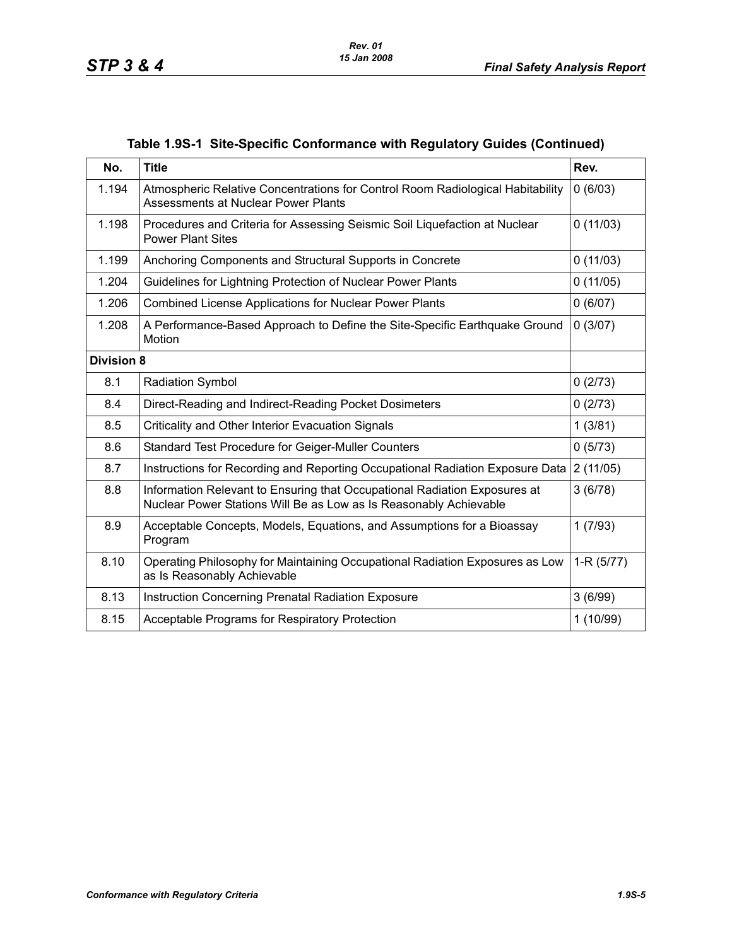| No.               | <b>Title</b>                                                                                                                                   | Rev.        |
|-------------------|------------------------------------------------------------------------------------------------------------------------------------------------|-------------|
| 1.194             | Atmospheric Relative Concentrations for Control Room Radiological Habitability<br><b>Assessments at Nuclear Power Plants</b>                   | 0(6/03)     |
| 1.198             | Procedures and Criteria for Assessing Seismic Soil Liquefaction at Nuclear<br><b>Power Plant Sites</b>                                         | 0(11/03)    |
| 1.199             | Anchoring Components and Structural Supports in Concrete                                                                                       | 0(11/03)    |
| 1.204             | Guidelines for Lightning Protection of Nuclear Power Plants                                                                                    | 0(11/05)    |
| 1.206             | <b>Combined License Applications for Nuclear Power Plants</b>                                                                                  | 0(6/07)     |
| 1.208             | A Performance-Based Approach to Define the Site-Specific Earthquake Ground<br>Motion                                                           | 0(3/07)     |
| <b>Division 8</b> |                                                                                                                                                |             |
| 8.1               | <b>Radiation Symbol</b>                                                                                                                        | 0(2/73)     |
| 8.4               | Direct-Reading and Indirect-Reading Pocket Dosimeters                                                                                          | 0(2/73)     |
| 8.5               | Criticality and Other Interior Evacuation Signals                                                                                              | 1(3/81)     |
| 8.6               | Standard Test Procedure for Geiger-Muller Counters                                                                                             | 0(5/73)     |
| 8.7               | Instructions for Recording and Reporting Occupational Radiation Exposure Data                                                                  | 2(11/05)    |
| 8.8               | Information Relevant to Ensuring that Occupational Radiation Exposures at<br>Nuclear Power Stations Will Be as Low as Is Reasonably Achievable | 3(6/78)     |
| 8.9               | Acceptable Concepts, Models, Equations, and Assumptions for a Bioassay<br>Program                                                              | 1(7/93)     |
| 8.10              | Operating Philosophy for Maintaining Occupational Radiation Exposures as Low<br>as Is Reasonably Achievable                                    | $1-R(5/77)$ |
| 8.13              | Instruction Concerning Prenatal Radiation Exposure                                                                                             | 3(6/99)     |
| 8.15              | Acceptable Programs for Respiratory Protection                                                                                                 | 1(10/99)    |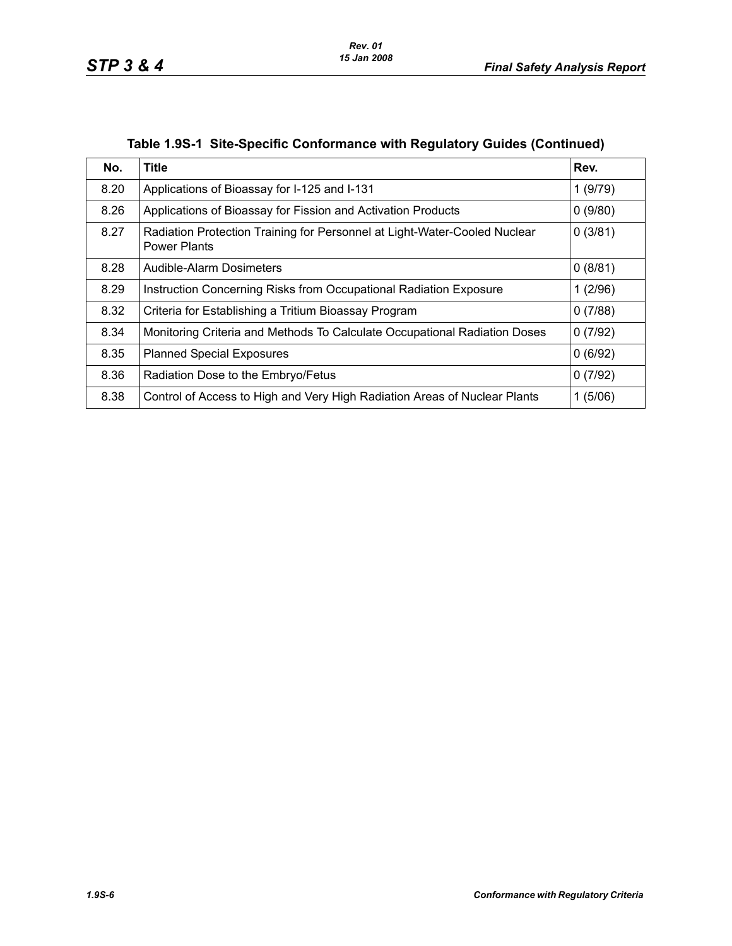| No.  | <b>Title</b>                                                                                     | Rev.    |
|------|--------------------------------------------------------------------------------------------------|---------|
| 8.20 | Applications of Bioassay for I-125 and I-131                                                     | 1(9/79) |
| 8.26 | Applications of Bioassay for Fission and Activation Products                                     | 0(9/80) |
| 8.27 | Radiation Protection Training for Personnel at Light-Water-Cooled Nuclear<br><b>Power Plants</b> | 0(3/81) |
| 8.28 | Audible-Alarm Dosimeters                                                                         | 0(8/81) |
| 8.29 | Instruction Concerning Risks from Occupational Radiation Exposure                                | 1(2/96) |
| 8.32 | Criteria for Establishing a Tritium Bioassay Program                                             | 0(7/88) |
| 8.34 | Monitoring Criteria and Methods To Calculate Occupational Radiation Doses                        | 0(7/92) |
| 8.35 | <b>Planned Special Exposures</b>                                                                 | 0(6/92) |
| 8.36 | Radiation Dose to the Embryo/Fetus                                                               | 0(7/92) |
| 8.38 | Control of Access to High and Very High Radiation Areas of Nuclear Plants                        | 1(5/06) |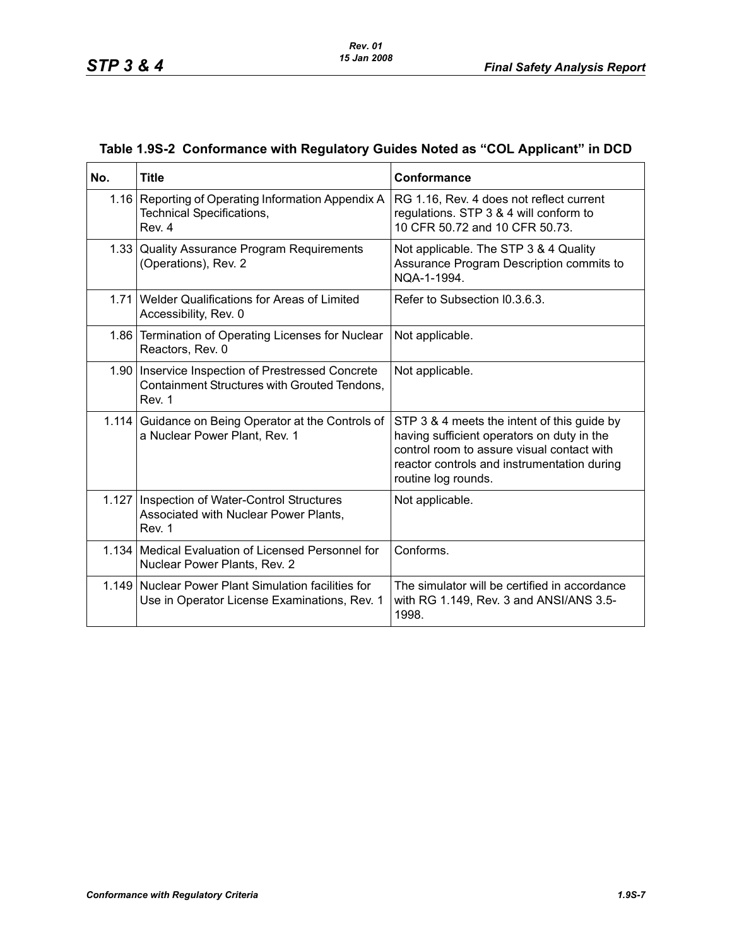| No.   | <b>Title</b>                                                                                                  | Conformance                                                                                                                                                                                                   |
|-------|---------------------------------------------------------------------------------------------------------------|---------------------------------------------------------------------------------------------------------------------------------------------------------------------------------------------------------------|
|       | 1.16 Reporting of Operating Information Appendix A<br><b>Technical Specifications,</b><br>Rev. 4              | RG 1.16, Rev. 4 does not reflect current<br>regulations. STP 3 & 4 will conform to<br>10 CFR 50.72 and 10 CFR 50.73.                                                                                          |
|       | 1.33 Quality Assurance Program Requirements<br>(Operations), Rev. 2                                           | Not applicable. The STP 3 & 4 Quality<br>Assurance Program Description commits to<br>NOA-1-1994.                                                                                                              |
|       | 1.71 Welder Qualifications for Areas of Limited<br>Accessibility, Rev. 0                                      | Refer to Subsection 10.3.6.3.                                                                                                                                                                                 |
|       | 1.86 Termination of Operating Licenses for Nuclear<br>Reactors, Rev. 0                                        | Not applicable.                                                                                                                                                                                               |
|       | 1.90   Inservice Inspection of Prestressed Concrete<br>Containment Structures with Grouted Tendons,<br>Rev. 1 | Not applicable.                                                                                                                                                                                               |
|       | 1.114 Guidance on Being Operator at the Controls of<br>a Nuclear Power Plant, Rev. 1                          | STP 3 & 4 meets the intent of this guide by<br>having sufficient operators on duty in the<br>control room to assure visual contact with<br>reactor controls and instrumentation during<br>routine log rounds. |
| 1.127 | Inspection of Water-Control Structures<br>Associated with Nuclear Power Plants,<br>Rev. 1                     | Not applicable.                                                                                                                                                                                               |
|       | 1.134   Medical Evaluation of Licensed Personnel for<br>Nuclear Power Plants, Rev. 2                          | Conforms.                                                                                                                                                                                                     |
| 1.149 | Nuclear Power Plant Simulation facilities for<br>Use in Operator License Examinations, Rev. 1                 | The simulator will be certified in accordance<br>with RG 1.149, Rev. 3 and ANSI/ANS 3.5-<br>1998.                                                                                                             |

# **Table 1.9S-2 Conformance with Regulatory Guides Noted as "COL Applicant" in DCD**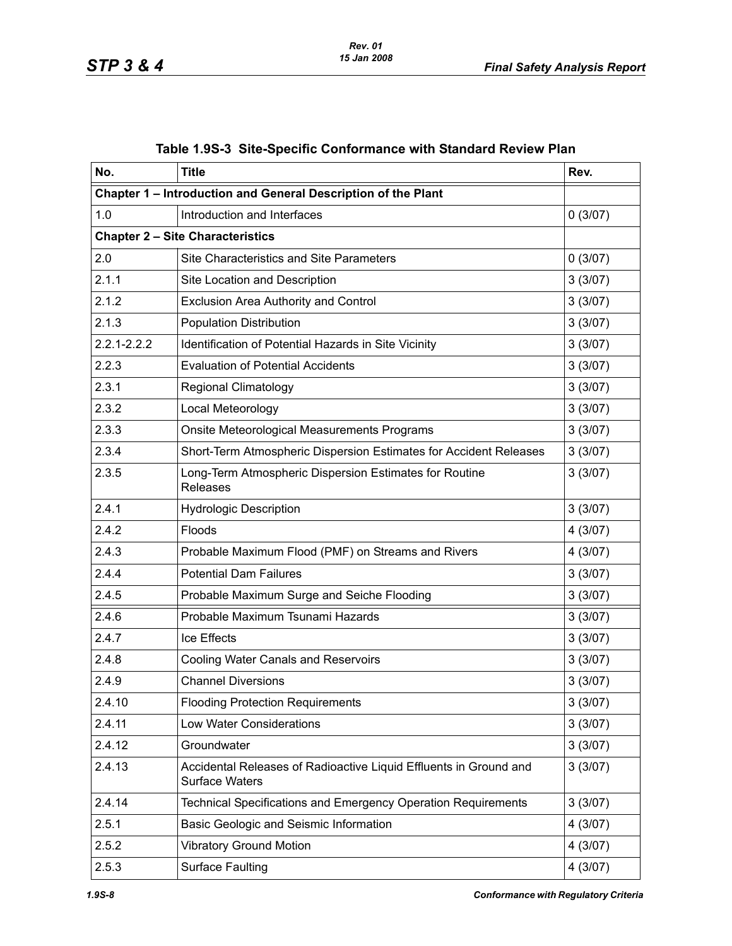| No.             | <b>Title</b>                                                                               | Rev.    |
|-----------------|--------------------------------------------------------------------------------------------|---------|
|                 | Chapter 1 - Introduction and General Description of the Plant                              |         |
| 1.0             | Introduction and Interfaces                                                                | 0(3/07) |
|                 | <b>Chapter 2 - Site Characteristics</b>                                                    |         |
| 2.0             | Site Characteristics and Site Parameters                                                   | 0(3/07) |
| 2.1.1           | Site Location and Description                                                              | 3(3/07) |
| 2.1.2           | Exclusion Area Authority and Control                                                       | 3(3/07) |
| 2.1.3           | <b>Population Distribution</b>                                                             | 3(3/07) |
| $2.2.1 - 2.2.2$ | Identification of Potential Hazards in Site Vicinity                                       | 3(3/07) |
| 2.2.3           | <b>Evaluation of Potential Accidents</b>                                                   | 3(3/07) |
| 2.3.1           | <b>Regional Climatology</b>                                                                | 3(3/07) |
| 2.3.2           | Local Meteorology                                                                          | 3(3/07) |
| 2.3.3           | Onsite Meteorological Measurements Programs                                                | 3(3/07) |
| 2.3.4           | Short-Term Atmospheric Dispersion Estimates for Accident Releases                          | 3(3/07) |
| 2.3.5           | Long-Term Atmospheric Dispersion Estimates for Routine<br><b>Releases</b>                  | 3(3/07) |
| 2.4.1           | <b>Hydrologic Description</b>                                                              | 3(3/07) |
| 2.4.2           | Floods                                                                                     | 4(3/07) |
| 2.4.3           | Probable Maximum Flood (PMF) on Streams and Rivers                                         | 4(3/07) |
| 2.4.4           | <b>Potential Dam Failures</b>                                                              | 3(3/07) |
| 2.4.5           | Probable Maximum Surge and Seiche Flooding                                                 | 3(3/07) |
| 2.4.6           | Probable Maximum Tsunami Hazards                                                           | 3(3/07) |
| 2.4.7           | Ice Effects                                                                                | 3(3/07) |
| 2.4.8           | Cooling Water Canals and Reservoirs                                                        | 3(3/07) |
| 2.4.9           | <b>Channel Diversions</b>                                                                  | 3(3/07) |
| 2.4.10          | <b>Flooding Protection Requirements</b>                                                    | 3(3/07) |
| 2.4.11          | Low Water Considerations                                                                   | 3(3/07) |
| 2.4.12          | Groundwater                                                                                | 3(3/07) |
| 2.4.13          | Accidental Releases of Radioactive Liquid Effluents in Ground and<br><b>Surface Waters</b> | 3(3/07) |
| 2.4.14          | Technical Specifications and Emergency Operation Requirements                              | 3(3/07) |
| 2.5.1           | Basic Geologic and Seismic Information                                                     | 4(3/07) |
| 2.5.2           | <b>Vibratory Ground Motion</b>                                                             | 4(3/07) |
| 2.5.3           | <b>Surface Faulting</b>                                                                    | 4(3/07) |

|  |  | Table 1.9S-3 Site-Specific Conformance with Standard Review Plan |  |  |
|--|--|------------------------------------------------------------------|--|--|
|--|--|------------------------------------------------------------------|--|--|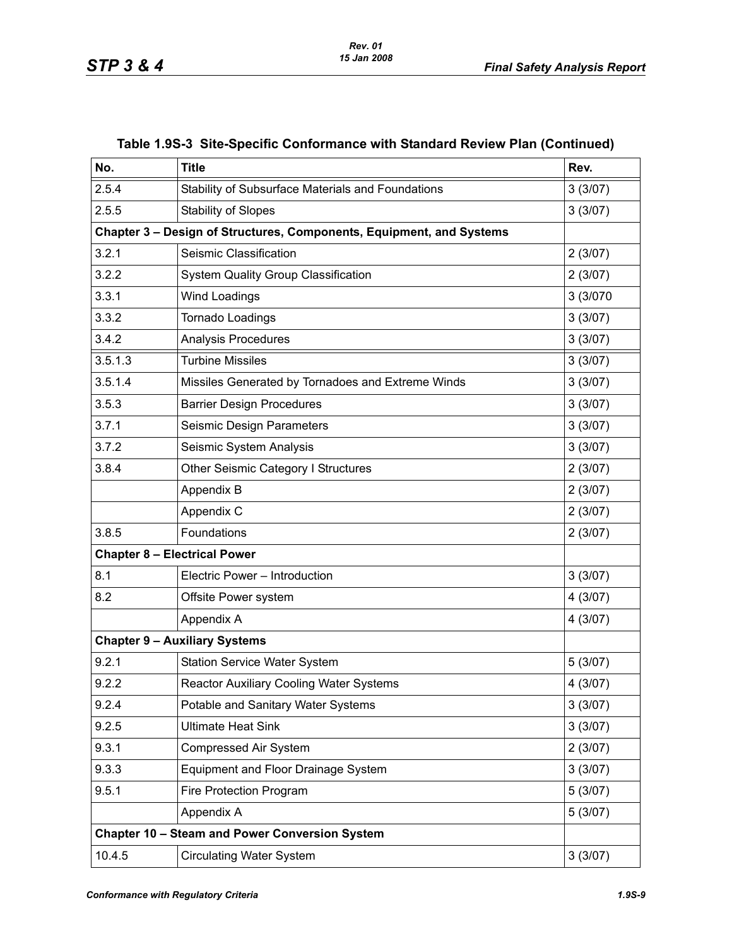| No.     | <b>Title</b>                                                         | Rev.     |
|---------|----------------------------------------------------------------------|----------|
| 2.5.4   | Stability of Subsurface Materials and Foundations                    | 3(3/07)  |
| 2.5.5   | <b>Stability of Slopes</b>                                           | 3(3/07)  |
|         | Chapter 3 - Design of Structures, Components, Equipment, and Systems |          |
| 3.2.1   | Seismic Classification                                               | 2(3/07)  |
| 3.2.2   | <b>System Quality Group Classification</b>                           | 2(3/07)  |
| 3.3.1   | Wind Loadings                                                        | 3 (3/070 |
| 3.3.2   | Tornado Loadings                                                     | 3(3/07)  |
| 3.4.2   | <b>Analysis Procedures</b>                                           | 3(3/07)  |
| 3.5.1.3 | <b>Turbine Missiles</b>                                              | 3(3/07)  |
| 3.5.1.4 | Missiles Generated by Tornadoes and Extreme Winds                    | 3(3/07)  |
| 3.5.3   | <b>Barrier Design Procedures</b>                                     | 3(3/07)  |
| 3.7.1   | Seismic Design Parameters                                            | 3(3/07)  |
| 3.7.2   | Seismic System Analysis                                              | 3(3/07)  |
| 3.8.4   | Other Seismic Category I Structures                                  | 2(3/07)  |
|         | Appendix B                                                           | 2(3/07)  |
|         | Appendix C                                                           | 2(3/07)  |
| 3.8.5   | Foundations                                                          | 2(3/07)  |
|         | <b>Chapter 8 - Electrical Power</b>                                  |          |
| 8.1     | Electric Power - Introduction                                        | 3(3/07)  |
| 8.2     | Offsite Power system                                                 | 4(3/07)  |
|         | Appendix A                                                           | 4(3/07)  |
|         | <b>Chapter 9 - Auxiliary Systems</b>                                 |          |
| 9.2.1   | <b>Station Service Water System</b>                                  | 5(3/07)  |
| 9.2.2   | <b>Reactor Auxiliary Cooling Water Systems</b>                       | 4(3/07)  |
| 9.2.4   | Potable and Sanitary Water Systems                                   | 3(3/07)  |
| 9.2.5   | <b>Ultimate Heat Sink</b>                                            | 3(3/07)  |
| 9.3.1   | <b>Compressed Air System</b>                                         | 2(3/07)  |
| 9.3.3   | Equipment and Floor Drainage System                                  | 3(3/07)  |
| 9.5.1   | Fire Protection Program                                              | 5(3/07)  |
|         | Appendix A                                                           | 5(3/07)  |
|         | Chapter 10 - Steam and Power Conversion System                       |          |
| 10.4.5  | <b>Circulating Water System</b>                                      | 3(3/07)  |

#### **Table 1.9S-3 Site-Specific Conformance with Standard Review Plan (Continued)**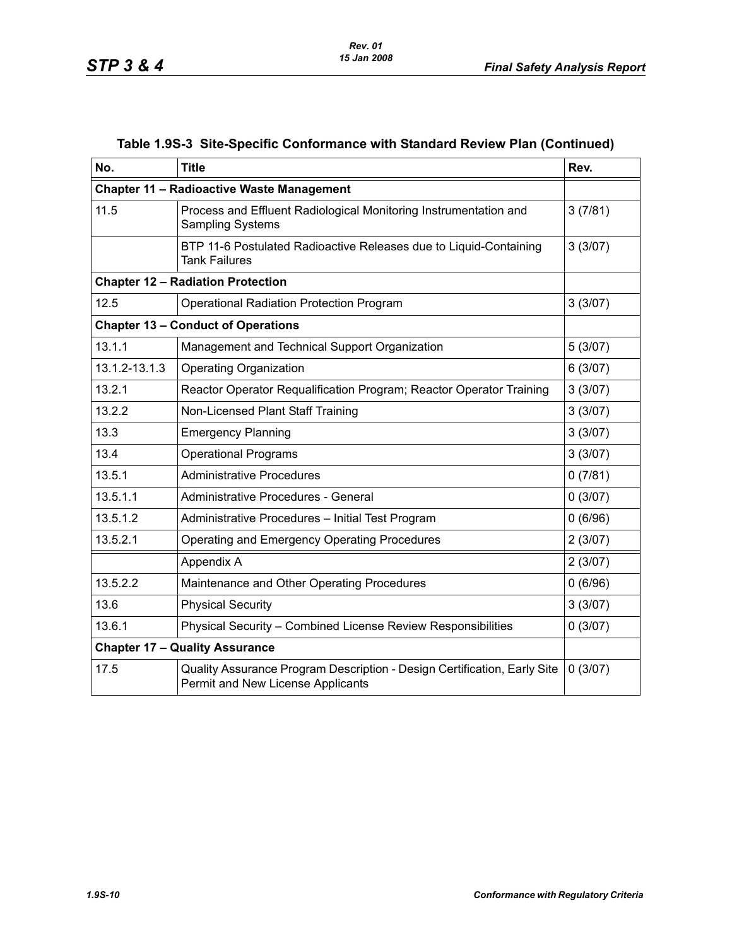| No.           | <b>Title</b>                                                                                                  | Rev.    |
|---------------|---------------------------------------------------------------------------------------------------------------|---------|
|               | <b>Chapter 11 - Radioactive Waste Management</b>                                                              |         |
| 11.5          | Process and Effluent Radiological Monitoring Instrumentation and<br><b>Sampling Systems</b>                   | 3(7/81) |
|               | BTP 11-6 Postulated Radioactive Releases due to Liquid-Containing<br><b>Tank Failures</b>                     | 3(3/07) |
|               | <b>Chapter 12 - Radiation Protection</b>                                                                      |         |
| 12.5          | <b>Operational Radiation Protection Program</b>                                                               | 3(3/07) |
|               | <b>Chapter 13 - Conduct of Operations</b>                                                                     |         |
| 13.1.1        | Management and Technical Support Organization                                                                 | 5(3/07) |
| 13.1.2-13.1.3 | <b>Operating Organization</b>                                                                                 | 6(3/07) |
| 13.2.1        | Reactor Operator Requalification Program; Reactor Operator Training                                           | 3(3/07) |
| 13.2.2        | Non-Licensed Plant Staff Training                                                                             | 3(3/07) |
| 13.3          | <b>Emergency Planning</b>                                                                                     | 3(3/07) |
| 13.4          | <b>Operational Programs</b>                                                                                   | 3(3/07) |
| 13.5.1        | <b>Administrative Procedures</b>                                                                              | 0(7/81) |
| 13.5.1.1      | Administrative Procedures - General                                                                           | 0(3/07) |
| 13.5.1.2      | Administrative Procedures - Initial Test Program                                                              | 0(6/96) |
| 13.5.2.1      | Operating and Emergency Operating Procedures                                                                  | 2(3/07) |
|               | Appendix A                                                                                                    | 2(3/07) |
| 13.5.2.2      | Maintenance and Other Operating Procedures                                                                    | 0(6/96) |
| 13.6          | <b>Physical Security</b>                                                                                      | 3(3/07) |
| 13.6.1        | Physical Security - Combined License Review Responsibilities                                                  | 0(3/07) |
|               | <b>Chapter 17 - Quality Assurance</b>                                                                         |         |
| 17.5          | Quality Assurance Program Description - Design Certification, Early Site<br>Permit and New License Applicants | 0(3/07) |

# **Table 1.9S-3 Site-Specific Conformance with Standard Review Plan (Continued)**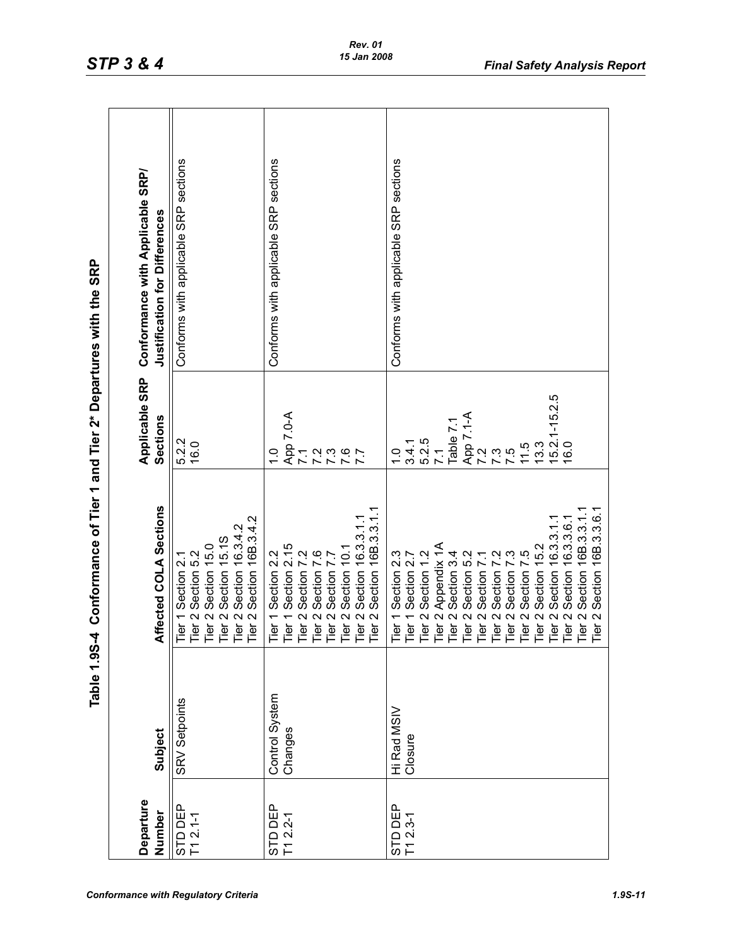| J                          |
|----------------------------|
| مطاله طالبا                |
| į                          |
| and Tier 2* Departures wif |
|                            |
|                            |
|                            |
|                            |
|                            |
|                            |
| Conformance of Tier        |
|                            |
| <b>1.9S4</b>               |
| $\frac{6}{10}$             |

|              | Table 1.9S-4   | Conformance of Tier 1 and Tier 2* Departures with the SRP                   |                   |                                          |
|--------------|----------------|-----------------------------------------------------------------------------|-------------------|------------------------------------------|
| Departure    |                |                                                                             | Applicable SRP    | Conformance with Applicable SRP/         |
| Number       | <b>Subject</b> | Affected COLA Sections                                                      | Sections          | Justification for Differences            |
| STD DEP      | SRV Setpoints  | Tier 1 Section 2.1                                                          | 5.2.2             | sections<br>Conforms with applicable SRP |
| $T12.1-1$    |                | Tier                                                                        | 16.0              |                                          |
|              |                | r 2 Section 5.2<br>r 2 Section 15.0<br>r 2 Section 15.1S<br>Tier            |                   |                                          |
|              |                | Tier                                                                        |                   |                                          |
|              |                | Section 16B.3.4.2<br>2 Section 16.3.4.2<br>$\mathbf{\Omega}$<br>Tier<br>ier |                   |                                          |
|              |                |                                                                             |                   |                                          |
| STD DEP      | Control System | Section 2.2<br>$\overline{ }$<br>Tier                                       | ب<br>ب            | Conforms with applicable SRP sections    |
| $T1 2.2 - 1$ | Changes        | Section 2.15<br>$\overline{\phantom{0}}$<br>Tier                            | App 7.0-A         |                                          |
|              |                | Section 7.2<br>$\boldsymbol{\sim}$<br>Tier                                  | $\overline{7.1}$  |                                          |
|              |                | $\overline{S}$<br>Section 7<br>$\mathbf{\Omega}$<br>Tier                    | 7.2               |                                          |
|              |                | Section 7<br>$\sim$<br>Tier                                                 | 7.3               |                                          |
|              |                | Section 10.1<br>$\sim$ $\sim$<br>Tier                                       | 7.7               |                                          |
|              |                | Section 16.3.3.1.<br>Tier                                                   |                   |                                          |
|              |                | Section 16B.3.3.1.1<br>$\mathbf{\Omega}$<br>Tier                            |                   |                                          |
| STD DEP      | Hi Rad MSIV    | 1 Section 2.3<br>ĭĕ                                                         | $\frac{0}{1}$     | Conforms with applicable SRP sections    |
| $T1 2.3-1$   | Closure        | Section 2.7<br>$\overline{ }$<br>Tier                                       | 3.4.1             |                                          |
|              |                | Section 1.2<br>$\mathbf{\Omega}$<br>Tier                                    | 5.2.5             |                                          |
|              |                | 2 Appendix 1A<br>Tier                                                       | $\overline{7.1}$  |                                          |
|              |                | Section 3.4<br>$\sim$<br>Τēη                                                | Table 7.          |                                          |
|              |                | Section 5.2<br>$\mathbf{\Omega}$<br>Tier                                    | App 7.1-A         |                                          |
|              |                | Section 7<br>$\sim$<br>Tier                                                 | 7.2               |                                          |
|              |                | Section 7<br>$\mathbf{\Omega}$<br>Tier                                      | 7.3               |                                          |
|              |                | Section 7<br>$\sim$<br>Tier                                                 | $\ddot{\omega}$   |                                          |
|              |                | rċ.<br>Section 7<br>$N$ $N$<br>Tier                                         | $1.5$<br>$1.3$    |                                          |
|              |                | Section 15.2<br>Tier                                                        |                   |                                          |
|              |                | Section 16.3.3.1.1<br>$\mathbf{\Omega}$<br>Tier                             | $15.2.1 - 15.2.5$ |                                          |
|              |                | Section 16.3.3.6.1<br>$\sim$<br>Tier                                        | 16.0              |                                          |
|              |                | Section 16B.3.3.1<br>Tier                                                   |                   |                                          |
|              |                | Section 16B.3.3.6.1<br>Tier                                                 |                   |                                          |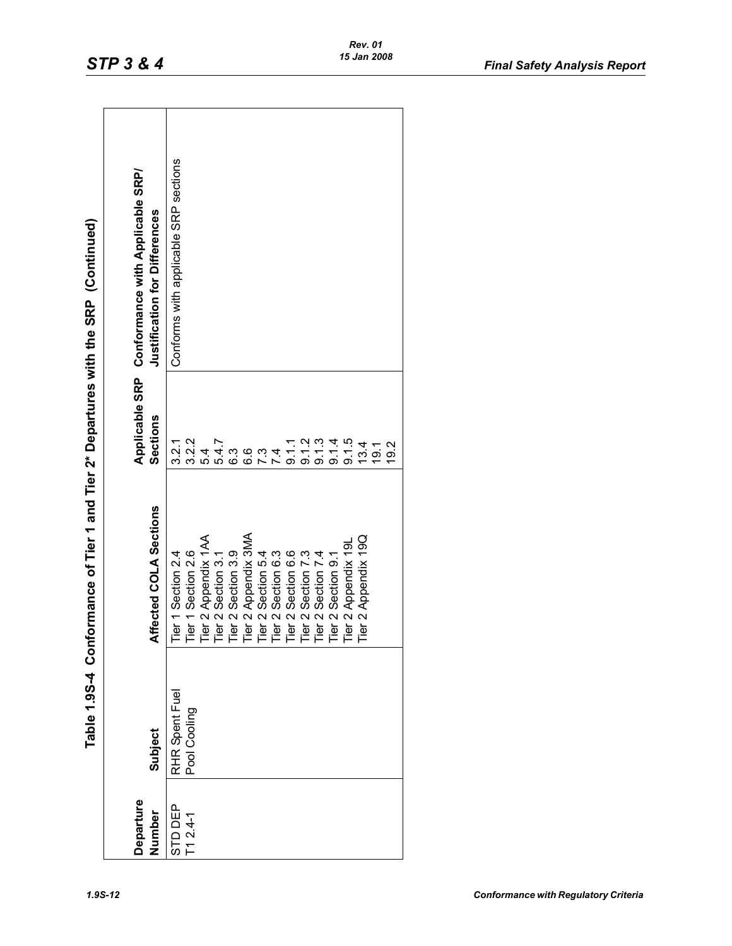| $\vdots$<br>Í                                                                                                                                                                                                                                                            |
|--------------------------------------------------------------------------------------------------------------------------------------------------------------------------------------------------------------------------------------------------------------------------|
| <br> <br>                                                                                                                                                                                                                                                                |
| ;<br>;                                                                                                                                                                                                                                                                   |
| ֧֖֖֖֖֧֧֚֚֚֚֚֚֚֚֚֚֝֟֟֓֬֝֓ <u>֓</u> ֖֧֧֧֧֧֧֧֚֚֚֓֓֝֓֬֝֓֬֝֓֬֝֓֝֬֝֓֬֝֬֝֬֝֬<br>I                                                                                                                                                                                               |
|                                                                                                                                                                                                                                                                          |
|                                                                                                                                                                                                                                                                          |
| ;<br>;                                                                                                                                                                                                                                                                   |
| $\frac{1}{2}$ is $\frac{1}{2}$ is $\frac{1}{2}$ is a set of $\frac{1}{2}$ is a set of $\frac{1}{2}$ is a set of $\frac{1}{2}$ is a set of $\frac{1}{2}$ is a set of $\frac{1}{2}$ is a set of $\frac{1}{2}$ is a set of $\frac{1}{2}$ is a set of $\frac{1}{2}$ is a set |
|                                                                                                                                                                                                                                                                          |
|                                                                                                                                                                                                                                                                          |
|                                                                                                                                                                                                                                                                          |
| <u>،</u><br>د<br>į                                                                                                                                                                                                                                                       |

|                     |                | Table 1.95-4 Conformance of Tier 1 and Tier 2* Departures with the SRP (Continued)                                                                                                                                        |          |                                                 |
|---------------------|----------------|---------------------------------------------------------------------------------------------------------------------------------------------------------------------------------------------------------------------------|----------|-------------------------------------------------|
|                     |                |                                                                                                                                                                                                                           |          | Applicable SRP Conformance with Applicable SRP/ |
| Departure<br>Number | Subject        | Affected COLA Sections                                                                                                                                                                                                    | Sections | Justification for Differences                   |
| STD DEP             | RHR Spent Fuel | Tier 1 Section 2.4                                                                                                                                                                                                        | 3.2.1    | Conforms with applicable SRP sections           |
| $T1 2.4 - 1$        | Pool Cooling   |                                                                                                                                                                                                                           | 3.2.2    |                                                 |
|                     |                |                                                                                                                                                                                                                           | 54       |                                                 |
|                     |                |                                                                                                                                                                                                                           | 5.4.7    |                                                 |
|                     |                |                                                                                                                                                                                                                           | ი<br>6   |                                                 |
|                     |                |                                                                                                                                                                                                                           | <u>၀</u> |                                                 |
|                     |                |                                                                                                                                                                                                                           |          |                                                 |
|                     |                |                                                                                                                                                                                                                           |          |                                                 |
|                     |                |                                                                                                                                                                                                                           | 0.11     |                                                 |
|                     |                |                                                                                                                                                                                                                           | 9.1.2    |                                                 |
|                     |                |                                                                                                                                                                                                                           | 0.13     |                                                 |
|                     |                |                                                                                                                                                                                                                           | 9.14     |                                                 |
|                     |                | Tier 1 Section 2.6<br>Tier 2 Appendix 1AA<br>Tier 2 Section 3.1<br>Tier 2 Section 3.1<br>Tier 2 Section 5.4<br>Tier 2 Section 6.3<br>Tier 2 Section 6.3<br>Tier 2 Section 7.4<br>Tier 2 Section 9.1<br>Tier 2 Section 9.1 | 9.1.5    |                                                 |
|                     |                | Tier 2 Appendix 19Q                                                                                                                                                                                                       | 13.4     |                                                 |
|                     |                |                                                                                                                                                                                                                           | 19.1     |                                                 |
|                     |                |                                                                                                                                                                                                                           | ი<br>თ   |                                                 |
|                     |                |                                                                                                                                                                                                                           |          |                                                 |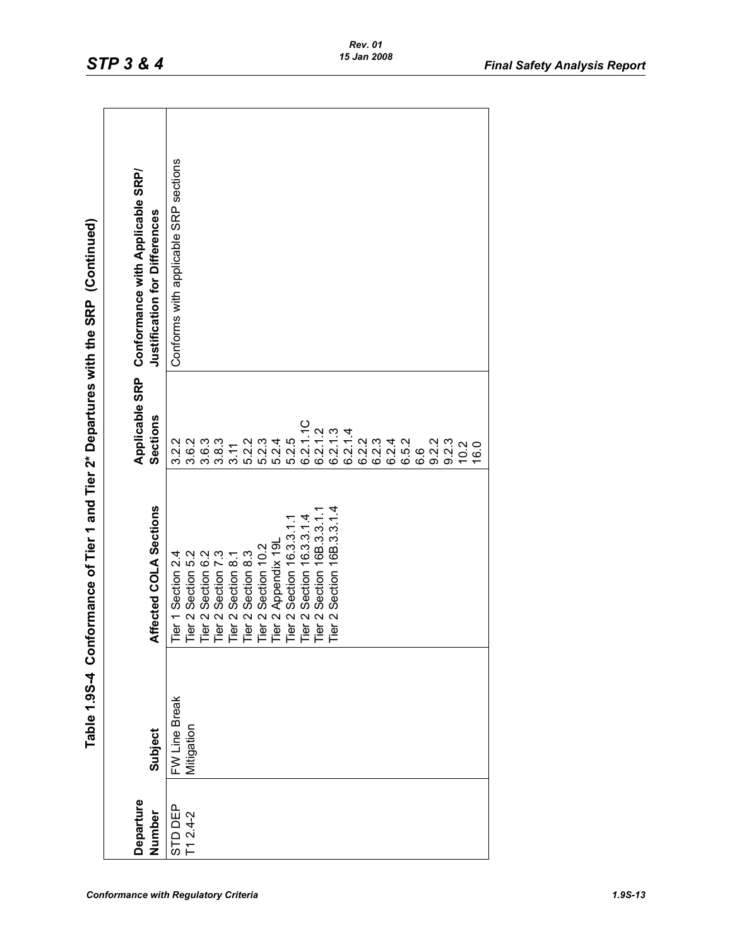| $\ddot{\phantom{0}}$                           |
|------------------------------------------------|
| C<br>C<br>C<br>$\frac{1}{2}$                   |
|                                                |
| $\ddot{\phantom{a}}$                           |
| ;<br>>>>>>                                     |
| ֧֦֧֢ׅ֧֦֧֦֧֦֧֧֧֧֧֧֧֧֧֚֚֚֚֚֚֚֚֚֚֚֚֚֚֚֚֚֚֬֝֬֝֓֜֜֜ |
| ŕ                                              |
| r 1 and lier                                   |
|                                                |
| nformance of Tier<br>$\frac{1}{2}$             |
|                                                |
| .<br>.<br>.<br>i                               |
| $\frac{1}{10}$                                 |

| Departure<br>Number | Subject                     | Affected COLA Sections                                                                                                                                                                                                                             | Applicable SRP<br>Sections | Conformance with Applicable SRP/<br>Justification for Differences |
|---------------------|-----------------------------|----------------------------------------------------------------------------------------------------------------------------------------------------------------------------------------------------------------------------------------------------|----------------------------|-------------------------------------------------------------------|
| STD DEP             |                             |                                                                                                                                                                                                                                                    | 3.2.2                      | Conforms with applicable SRP sections                             |
| $T12.4-2$           | FW Line Break<br>Mitigation | Tier 1 Section 2.4<br>Tier 2 Section 5.2<br>Tier 2 Section 6.2<br>Tier 2 Section 7.3<br>Tier 2 Section 8.1<br>Tier 2 Section 8.3<br>Tier 2 Section 10.2<br>Tier 2 Section 16.3.3.1.1<br>Tier 2 Section 16.3.3.1.4<br>Tier 2 Section 16.3.3.1.4<br> | 3.6.2                      |                                                                   |
|                     |                             |                                                                                                                                                                                                                                                    | 3.6.3                      |                                                                   |
|                     |                             |                                                                                                                                                                                                                                                    | 3.8.3                      |                                                                   |
|                     |                             |                                                                                                                                                                                                                                                    | 3.11                       |                                                                   |
|                     |                             |                                                                                                                                                                                                                                                    | 5.2.2                      |                                                                   |
|                     |                             |                                                                                                                                                                                                                                                    | 5.2.3                      |                                                                   |
|                     |                             |                                                                                                                                                                                                                                                    | 5.2.4                      |                                                                   |
|                     |                             |                                                                                                                                                                                                                                                    | 5.25                       |                                                                   |
|                     |                             |                                                                                                                                                                                                                                                    | 6.2.1.1C                   |                                                                   |
|                     |                             |                                                                                                                                                                                                                                                    | 6.2.1.2                    |                                                                   |
|                     |                             |                                                                                                                                                                                                                                                    | 6.2.1.3                    |                                                                   |
|                     |                             |                                                                                                                                                                                                                                                    | 6.2.1.4                    |                                                                   |
|                     |                             |                                                                                                                                                                                                                                                    | 6.2.2                      |                                                                   |
|                     |                             |                                                                                                                                                                                                                                                    | 6.2.3                      |                                                                   |
|                     |                             |                                                                                                                                                                                                                                                    | 6.2.4                      |                                                                   |
|                     |                             |                                                                                                                                                                                                                                                    | 6.5.2                      |                                                                   |
|                     |                             |                                                                                                                                                                                                                                                    | 6.6                        |                                                                   |
|                     |                             |                                                                                                                                                                                                                                                    | 9.2.2                      |                                                                   |
|                     |                             |                                                                                                                                                                                                                                                    | 9.2.3                      |                                                                   |
|                     |                             |                                                                                                                                                                                                                                                    | 10.2                       |                                                                   |
|                     |                             |                                                                                                                                                                                                                                                    | $\overline{6}$ .0          |                                                                   |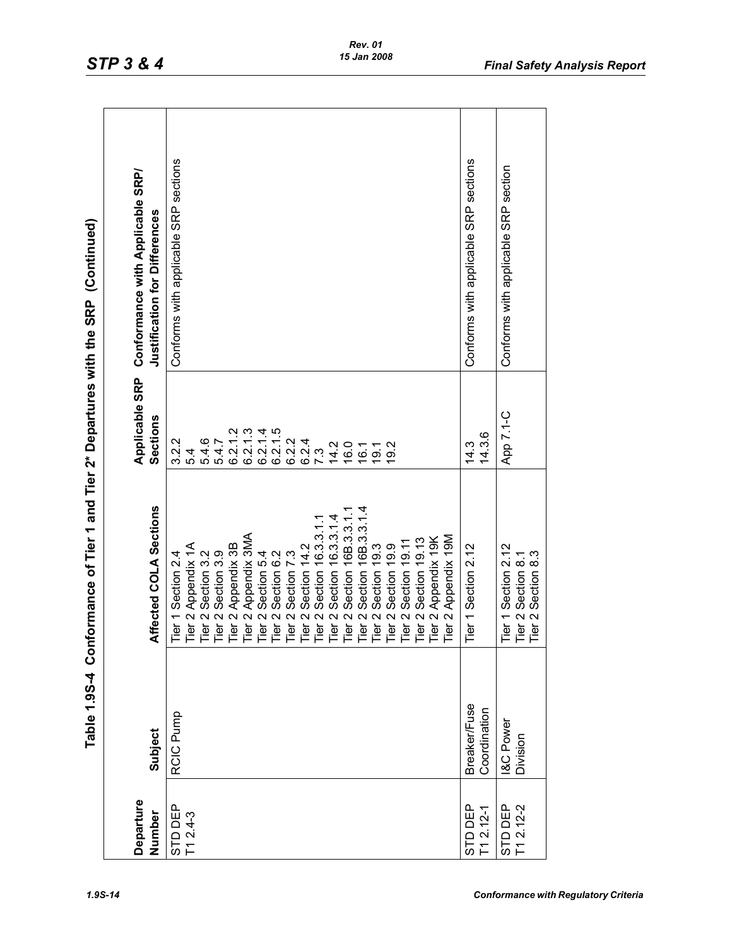| י<br>י (⊂                              |
|----------------------------------------|
| SRP<br>$\frac{1}{2}$                   |
|                                        |
| ミミッシュ<br>)<br>)<br>)<br>)<br>こうこうさく おく |
| ı                                      |
|                                        |
|                                        |
| of Tier 1 and Tier                     |
| nformance of Tier                      |
| <br> <br> <br> <br>7 ac 7              |
| e í                                    |

|                          |                                     | Table 1.95-4 Conformance of Tier 2* Departures with the SRP (Continued)                                                                                                                                                                            |                                                                                                                                                                          |                                                                   |
|--------------------------|-------------------------------------|----------------------------------------------------------------------------------------------------------------------------------------------------------------------------------------------------------------------------------------------------|--------------------------------------------------------------------------------------------------------------------------------------------------------------------------|-------------------------------------------------------------------|
| Departure<br>Number      | Subject                             | Affected COLA Sections                                                                                                                                                                                                                             | Applicable SRP<br>Sections                                                                                                                                               | Conformance with Applicable SRP/<br>Justification for Differences |
| STD DEP<br>T1 2.4-3      | RCIC Pump                           | Tier 1 Section 2.4<br>Tier 2 Appendix 1A<br>Tier 2 Section 3.2<br>Tier 2 Section 3.9<br>Tier 2 Appendix 3B<br>Tier 2 Appendix 3B<br>Tier 2 Section 6.2<br>Tier 2 Section 14.2<br>Tier 2 Section 16.3.3.1.1<br>Tier 2 Section 168.3.3.1.1<br>Tier 2 | $\frac{3}{2}$<br>6.2.1.5<br>$\overline{a}$<br>6.2.1.4<br>5.4.6<br>3.2.2<br>6.2.4<br>6.2.2<br>5.4.7<br>6.2.1<br>6.2.1<br>0.91<br>9.2<br>14.2<br>19.1<br>16.1<br>73<br>5.4 | Conforms with applicable SRP sections                             |
| STD DEP<br>$T1 2.12 - 1$ | <b>Breaker/Fuse</b><br>Coordination | Tier 1 Section 2.12                                                                                                                                                                                                                                | 14.3.6<br>14.3                                                                                                                                                           | Conforms with applicable SRP sections                             |
| $T1 2.12 - 2$<br>STD DEP | <b>I&amp;C</b> Power<br>Division    | Tier 1 Section 2.12<br>Tier 2 Section 8.1<br>Tier 2 Section 8.3                                                                                                                                                                                    | App 7.1-C                                                                                                                                                                | Conforms with applicable SRP section                              |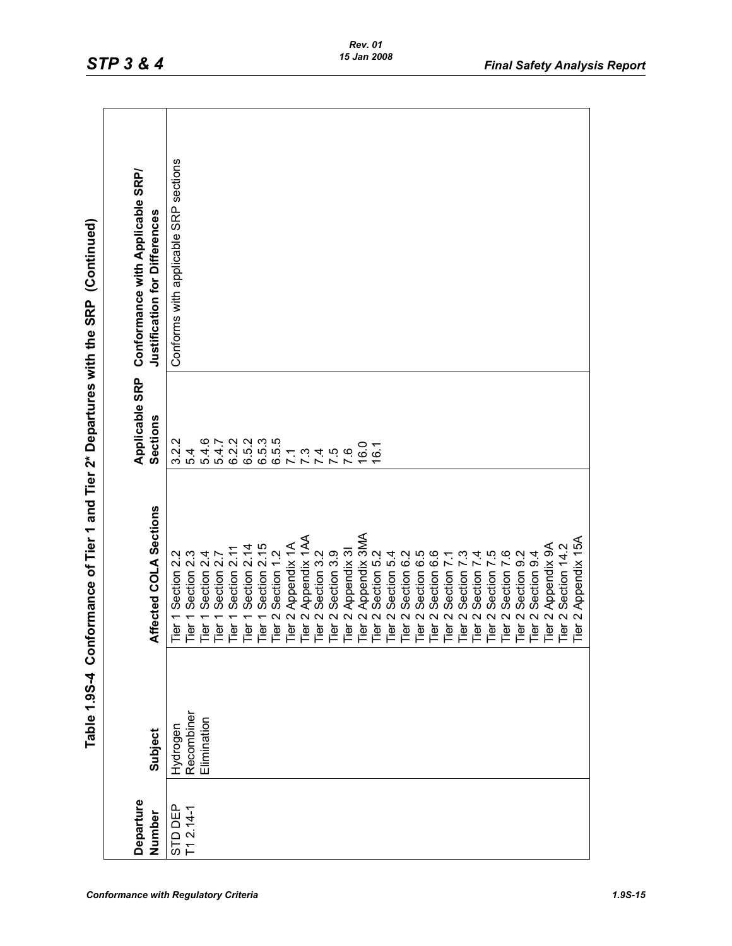| $rac{c}{c}$<br>;<br>)<br>;                          |
|-----------------------------------------------------|
| ${1\over 2}$                                        |
| <b>TAMANING</b>                                     |
| $\frac{1}{2}$                                       |
| $\frac{1}{1}$ or $\frac{1}{1}$                      |
| $\frac{1}{2}$<br> <br> <br> <br> <br> <br> <br><br> |
|                                                     |
| $\vdots$<br><b>2019</b><br>Š                        |

| 3.2.2<br>ဖ<br>6.2.2<br>6.5.3<br>6.5.3<br>5.5<br>5.4.7<br>0.g<br><u>ات</u><br>5.4<br>j.<br>5.4<br>$\dot{\omega}$<br>4.<br>ِٯ<br>$\overline{7.1}$<br>$\circ$<br>Tier 1 Section 2.2<br>Tier 1 Section 2.3<br>Tier 1 Section 2.1<br>Tier 1 Section 2.1<br>Tier 1 Section 2.1<br>Tier 1 Section 1.2<br>Tier 1 Section 1.2<br>Tier 2 Section 3.2<br>Tier 2 Appendix 3M<br>Tier 2 Appendix 3MA<br>Tier 2 Section 5.2<br>T<br>Recombiner<br>Elimination<br>Hydrogen<br>STD DEP<br>T1 2.14-1 | Departure |         |                        | Applicable SRP | Conformance with Applicable SRP/      |
|-------------------------------------------------------------------------------------------------------------------------------------------------------------------------------------------------------------------------------------------------------------------------------------------------------------------------------------------------------------------------------------------------------------------------------------------------------------------------------------|-----------|---------|------------------------|----------------|---------------------------------------|
|                                                                                                                                                                                                                                                                                                                                                                                                                                                                                     | Number    | Subject | Affected COLA Sections | Sections       | Justification for Differences         |
|                                                                                                                                                                                                                                                                                                                                                                                                                                                                                     |           |         |                        |                | Conforms with applicable SRP sections |
|                                                                                                                                                                                                                                                                                                                                                                                                                                                                                     |           |         |                        |                |                                       |
|                                                                                                                                                                                                                                                                                                                                                                                                                                                                                     |           |         |                        |                |                                       |
|                                                                                                                                                                                                                                                                                                                                                                                                                                                                                     |           |         |                        |                |                                       |
|                                                                                                                                                                                                                                                                                                                                                                                                                                                                                     |           |         |                        |                |                                       |
|                                                                                                                                                                                                                                                                                                                                                                                                                                                                                     |           |         |                        |                |                                       |
|                                                                                                                                                                                                                                                                                                                                                                                                                                                                                     |           |         |                        |                |                                       |
|                                                                                                                                                                                                                                                                                                                                                                                                                                                                                     |           |         |                        |                |                                       |
|                                                                                                                                                                                                                                                                                                                                                                                                                                                                                     |           |         |                        |                |                                       |
|                                                                                                                                                                                                                                                                                                                                                                                                                                                                                     |           |         |                        |                |                                       |
|                                                                                                                                                                                                                                                                                                                                                                                                                                                                                     |           |         |                        |                |                                       |
|                                                                                                                                                                                                                                                                                                                                                                                                                                                                                     |           |         |                        |                |                                       |
|                                                                                                                                                                                                                                                                                                                                                                                                                                                                                     |           |         |                        |                |                                       |
|                                                                                                                                                                                                                                                                                                                                                                                                                                                                                     |           |         |                        |                |                                       |
|                                                                                                                                                                                                                                                                                                                                                                                                                                                                                     |           |         |                        |                |                                       |
|                                                                                                                                                                                                                                                                                                                                                                                                                                                                                     |           |         |                        |                |                                       |
|                                                                                                                                                                                                                                                                                                                                                                                                                                                                                     |           |         |                        |                |                                       |
|                                                                                                                                                                                                                                                                                                                                                                                                                                                                                     |           |         |                        |                |                                       |
|                                                                                                                                                                                                                                                                                                                                                                                                                                                                                     |           |         |                        |                |                                       |
|                                                                                                                                                                                                                                                                                                                                                                                                                                                                                     |           |         |                        |                |                                       |
|                                                                                                                                                                                                                                                                                                                                                                                                                                                                                     |           |         |                        |                |                                       |
|                                                                                                                                                                                                                                                                                                                                                                                                                                                                                     |           |         |                        |                |                                       |
|                                                                                                                                                                                                                                                                                                                                                                                                                                                                                     |           |         |                        |                |                                       |
|                                                                                                                                                                                                                                                                                                                                                                                                                                                                                     |           |         |                        |                |                                       |
|                                                                                                                                                                                                                                                                                                                                                                                                                                                                                     |           |         |                        |                |                                       |
|                                                                                                                                                                                                                                                                                                                                                                                                                                                                                     |           |         |                        |                |                                       |
|                                                                                                                                                                                                                                                                                                                                                                                                                                                                                     |           |         |                        |                |                                       |
|                                                                                                                                                                                                                                                                                                                                                                                                                                                                                     |           |         |                        |                |                                       |
|                                                                                                                                                                                                                                                                                                                                                                                                                                                                                     |           |         |                        |                |                                       |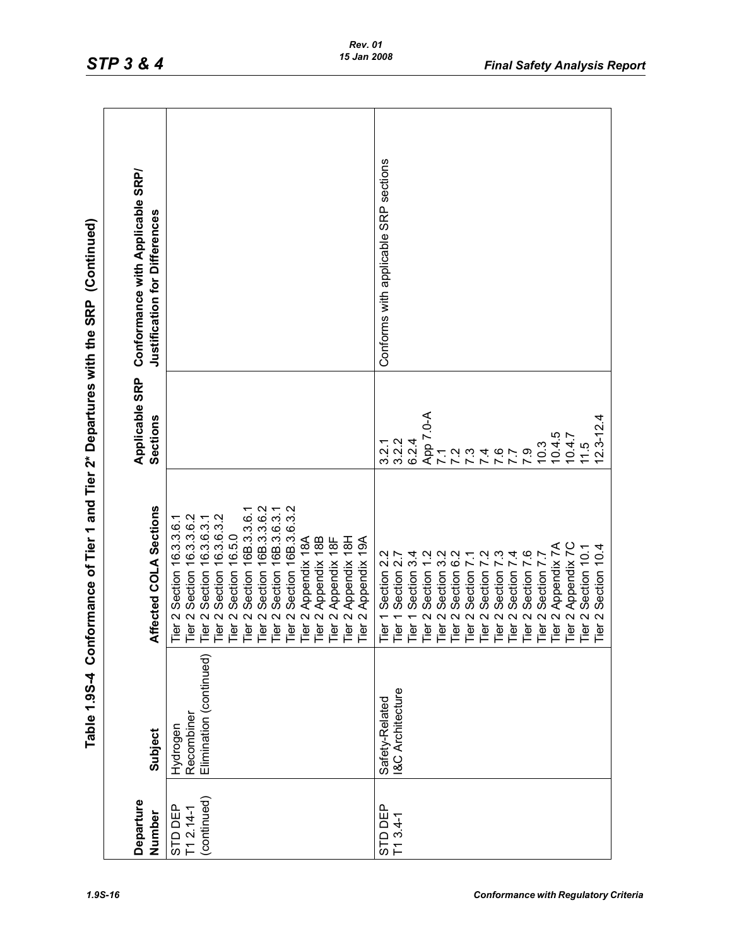| ļ                              |
|--------------------------------|
| C<br>C<br>C<br>;               |
|                                |
| $\ddot{\phantom{a}}$           |
| יט<br>22 בטונט                 |
|                                |
| $\frac{1}{2}$                  |
|                                |
| ce of Tier 1 and Tier ?"       |
|                                |
| <b>Continue company</b>        |
| =<br>D<br>D<br>D<br>D          |
| $\frac{1}{2}$<br>$\frac{1}{2}$ |
| $\frac{1}{2}$<br>≗ี            |

|                                     |                                                   | Table 1.994 Conformance of Tier 1 and Tier 2* Departures with the SRP (Continued)                                                                                                                                                                                                                                                                                                                                                |                                                                                                                                                              |                                       |
|-------------------------------------|---------------------------------------------------|----------------------------------------------------------------------------------------------------------------------------------------------------------------------------------------------------------------------------------------------------------------------------------------------------------------------------------------------------------------------------------------------------------------------------------|--------------------------------------------------------------------------------------------------------------------------------------------------------------|---------------------------------------|
| Departure                           |                                                   |                                                                                                                                                                                                                                                                                                                                                                                                                                  | Applicable SRP                                                                                                                                               | Conformance with Applicable SRP/      |
| Number                              | Subject                                           | Affected COLA Sections                                                                                                                                                                                                                                                                                                                                                                                                           | Sections                                                                                                                                                     | Justification for Differences         |
| (continued)<br>STD DEP<br>T1 2.14-1 | Elimination (continued)<br>Recombiner<br>Hydrogen | Tier 2 Section 16B.3.6.3.2<br>Section 16B.3.3.6.2<br>Tier 2 Section 16B.3.6.3.1<br>Section 16B.3.3.6.1<br>16.3.6.3.2<br>Tier 2 Section 16.3.3.6.1<br>Tier 2 Section 16.3.3.6.2<br>16.3.6.3.1<br>Section 16.5.0<br>Tier 2 Appendix 18B<br>Tier 2 Appendix 18H<br>Tier 2 Appendix 18A<br>Tier 2 Appendix 18F<br>Tier 2 Appendix 19A<br>Section 1<br>Tier 2 Section 1<br>Tier <sub>2</sub><br>Tier 2<br>Tier <sub>2</sub><br>Tier 2 |                                                                                                                                                              |                                       |
| STD DEP<br>$T1 3.4 - 1$             | <b>I&amp;C Architecture</b><br>Safety-Related     | Tier 2 Appendix 7A<br>Tier 2 Appendix 7C<br>Section 10.4<br>Section 10.1<br>Section 7.6<br>Tier 1 Section 2.2<br>Tier 1 Section 3.4<br>Tier 1 Section 2.7<br>Tier 2 Section 7.7<br>က<br>Tier 2 Section 6<br>Section 7<br>Tier 2 Section<br>Section<br>Tier 2 Section<br>Section<br>Section<br>Tier 2<br>Tier <sub>2</sub><br>Tier <sub>2</sub><br>Tier 2<br>Tier 2<br>Tier <sub>2</sub><br>$\sim$<br>Tier <sup>-</sup>           | App 7.0-A<br>4<br>$12.3 - 12.$<br>10.4.5<br>10.4.7<br>3.2.2<br>6.2.4<br>3.2.1<br>10.3<br>11.5<br>7 7 7 2<br>7 7 7 7<br><b>4 4 7 7<br/>4 6 7 9</b><br>4 6 7 9 | Conforms with applicable SRP sections |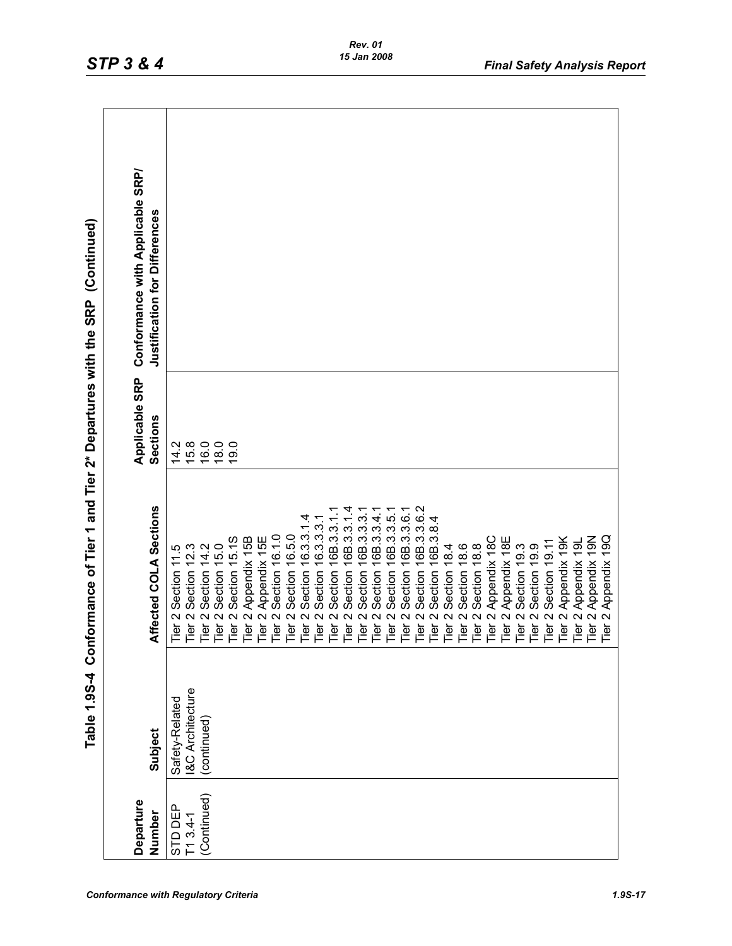| $\frac{1}{2}$<br>$\vdots$                                                                                                                                                                                                                      |
|------------------------------------------------------------------------------------------------------------------------------------------------------------------------------------------------------------------------------------------------|
| ֚֚֬                                                                                                                                                                                                                                            |
| ソン・シー・トー<br>in a state of the contract of the contract of the contract of the contract of the contract of the contract of the contract of the contract of the contract of the contract of the contract of the contract of the contract of<br>ì |
|                                                                                                                                                                                                                                                |
| and lie                                                                                                                                                                                                                                        |
| ر Tier `                                                                                                                                                                                                                                       |
| $\ddot{ }$<br>$\vdots$                                                                                                                                                                                                                         |
| N 0 1 0 2 1<br>$\frac{1}{2}$<br>ט<br>2                                                                                                                                                                                                         |

| Departure   |                             |                                                                                                                                                                                                                                                    | Applicable SRP   | Conformance with Applicable SRP/     |
|-------------|-----------------------------|----------------------------------------------------------------------------------------------------------------------------------------------------------------------------------------------------------------------------------------------------|------------------|--------------------------------------|
| Number      | Subject                     | Affected COLA Sections                                                                                                                                                                                                                             | Sections         | <b>Justification for Differences</b> |
| STD DEP     | Safety-Related              |                                                                                                                                                                                                                                                    |                  |                                      |
| $T13.4-1$   | <b>I&amp;C Architecture</b> |                                                                                                                                                                                                                                                    | 116680<br>116660 |                                      |
| (Continued) | (continued)                 |                                                                                                                                                                                                                                                    |                  |                                      |
|             |                             |                                                                                                                                                                                                                                                    |                  |                                      |
|             |                             |                                                                                                                                                                                                                                                    |                  |                                      |
|             |                             |                                                                                                                                                                                                                                                    |                  |                                      |
|             |                             |                                                                                                                                                                                                                                                    |                  |                                      |
|             |                             |                                                                                                                                                                                                                                                    |                  |                                      |
|             |                             |                                                                                                                                                                                                                                                    |                  |                                      |
|             |                             | Section 16.3.3.1                                                                                                                                                                                                                                   |                  |                                      |
|             |                             | Section 16.3.3.3.1                                                                                                                                                                                                                                 |                  |                                      |
|             |                             | Section 16B.3.3.1                                                                                                                                                                                                                                  |                  |                                      |
|             |                             | 16B.3.3.1.4                                                                                                                                                                                                                                        |                  |                                      |
|             |                             | 16B.3.3.3.                                                                                                                                                                                                                                         |                  |                                      |
|             |                             |                                                                                                                                                                                                                                                    |                  |                                      |
|             |                             | 16B.3.3.4.1<br>16B.3.3.5.1                                                                                                                                                                                                                         |                  |                                      |
|             |                             | 16B.3.3.6.1                                                                                                                                                                                                                                        |                  |                                      |
|             |                             | Section 16B.3.3.6.2                                                                                                                                                                                                                                |                  |                                      |
|             |                             | Section 16B.3.8.4                                                                                                                                                                                                                                  |                  |                                      |
|             |                             |                                                                                                                                                                                                                                                    |                  |                                      |
|             |                             |                                                                                                                                                                                                                                                    |                  |                                      |
|             |                             |                                                                                                                                                                                                                                                    |                  |                                      |
|             |                             |                                                                                                                                                                                                                                                    |                  |                                      |
|             |                             |                                                                                                                                                                                                                                                    |                  |                                      |
|             |                             |                                                                                                                                                                                                                                                    |                  |                                      |
|             |                             |                                                                                                                                                                                                                                                    |                  |                                      |
|             |                             |                                                                                                                                                                                                                                                    |                  |                                      |
|             |                             |                                                                                                                                                                                                                                                    |                  |                                      |
|             |                             |                                                                                                                                                                                                                                                    |                  |                                      |
|             |                             | Tier 2 Section 11.5<br>Tier 2 Section 15.<br>Tier 2 Section 15.13<br>Tier 2 Section 15.13<br>Tier 2 Section 16.13<br>The 2 Section 16.10<br>The 2 Appendix 15E<br>The 2 Section 16.5.0<br>The 2 Section 16.3.3.1<br>The 2 Section 16.3.3.3<br>3.3. |                  |                                      |
|             |                             |                                                                                                                                                                                                                                                    |                  |                                      |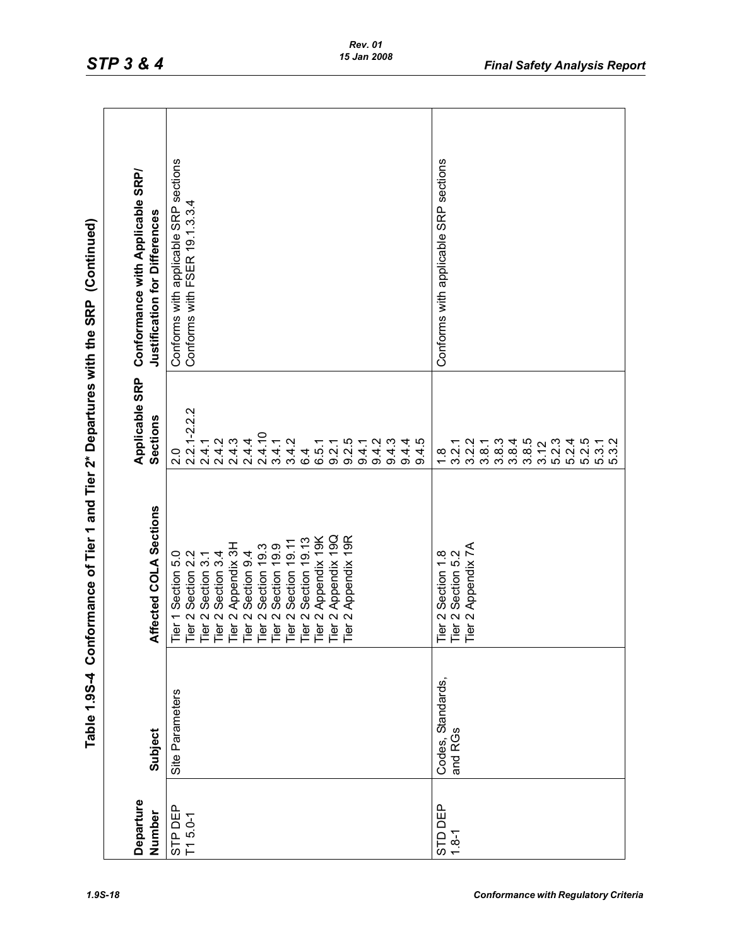| c<br>C<br>C<br>;<br>;<br>;                                                |
|---------------------------------------------------------------------------|
|                                                                           |
| $\begin{array}{c}\n\bullet \\ \bullet \\ \bullet \\ \bullet\n\end{array}$ |
| J DI DIR                                                                  |
|                                                                           |
| i⊂<br>i⊂t                                                                 |
|                                                                           |
| ا و<br>اه                                                                 |
|                                                                           |

| Departure<br>Number | Subject              | Affected COLA Sections                                                                                                                                                                                                                            | Applicable SRP<br><b>Sections</b>                                        | Conformance with Applicable SRP/<br>Justification for Differences      |
|---------------------|----------------------|---------------------------------------------------------------------------------------------------------------------------------------------------------------------------------------------------------------------------------------------------|--------------------------------------------------------------------------|------------------------------------------------------------------------|
| STP DEP             | Site Parameters      | Tier 1 Section 5.0<br>Tier 2 Section 3.1<br>Tier 2 Section 3.1<br>Tier 2 Section 3.4<br>Tier 2 Appendix 3H<br>Tier 2 Section 19.3<br>Tier 2 Section 19.9<br>Tier 2 Section 19.11<br>Tier 2 Appendix 190<br>Tier 2 Appendix 190<br>Tier 2 Appendix |                                                                          | Conforms with applicable SRP sections<br>Conforms with FSER 19.1.3.3.4 |
| $T1 5.0 - 1$        |                      |                                                                                                                                                                                                                                                   | 2.2<br>יי<br>סטאל ליוואל ליוואל<br>סטאל ליוואל ליוואל<br>האליוואל ליוואל |                                                                        |
|                     |                      |                                                                                                                                                                                                                                                   |                                                                          |                                                                        |
|                     |                      |                                                                                                                                                                                                                                                   |                                                                          |                                                                        |
|                     |                      |                                                                                                                                                                                                                                                   |                                                                          |                                                                        |
|                     |                      |                                                                                                                                                                                                                                                   |                                                                          |                                                                        |
|                     |                      |                                                                                                                                                                                                                                                   |                                                                          |                                                                        |
|                     |                      |                                                                                                                                                                                                                                                   |                                                                          |                                                                        |
|                     |                      |                                                                                                                                                                                                                                                   |                                                                          |                                                                        |
|                     |                      |                                                                                                                                                                                                                                                   |                                                                          |                                                                        |
|                     |                      |                                                                                                                                                                                                                                                   |                                                                          |                                                                        |
|                     |                      |                                                                                                                                                                                                                                                   |                                                                          |                                                                        |
|                     |                      |                                                                                                                                                                                                                                                   |                                                                          |                                                                        |
|                     |                      |                                                                                                                                                                                                                                                   | 9.4.1                                                                    |                                                                        |
|                     |                      |                                                                                                                                                                                                                                                   | 9.4.2                                                                    |                                                                        |
|                     |                      |                                                                                                                                                                                                                                                   | 9.4.3                                                                    |                                                                        |
|                     |                      |                                                                                                                                                                                                                                                   | $9.4.5$<br>$9.4.5$                                                       |                                                                        |
|                     |                      |                                                                                                                                                                                                                                                   |                                                                          |                                                                        |
| STD DEP             | Standards,<br>Codes, |                                                                                                                                                                                                                                                   | $\frac{8}{1}$                                                            | sections<br><b>SRP</b><br>Conforms with applicable                     |
| $1.8 - 1$           | and RGs              | Tier 2 Section 1.8<br>Tier 2 Section 5.2<br>Tier 2 Appendix 7A                                                                                                                                                                                    | $3.\overline{2}.2$<br>$3.\overline{2}.2$                                 |                                                                        |
|                     |                      |                                                                                                                                                                                                                                                   |                                                                          |                                                                        |
|                     |                      |                                                                                                                                                                                                                                                   |                                                                          |                                                                        |
|                     |                      |                                                                                                                                                                                                                                                   |                                                                          |                                                                        |
|                     |                      |                                                                                                                                                                                                                                                   |                                                                          |                                                                        |
|                     |                      |                                                                                                                                                                                                                                                   |                                                                          |                                                                        |
|                     |                      |                                                                                                                                                                                                                                                   |                                                                          |                                                                        |
|                     |                      |                                                                                                                                                                                                                                                   | t cod cod cod cod cod<br>cod cod cod cod cod cod<br>cod cod cod cod cod  |                                                                        |
|                     |                      |                                                                                                                                                                                                                                                   |                                                                          |                                                                        |
|                     |                      |                                                                                                                                                                                                                                                   |                                                                          |                                                                        |
|                     |                      |                                                                                                                                                                                                                                                   |                                                                          |                                                                        |
|                     |                      |                                                                                                                                                                                                                                                   |                                                                          |                                                                        |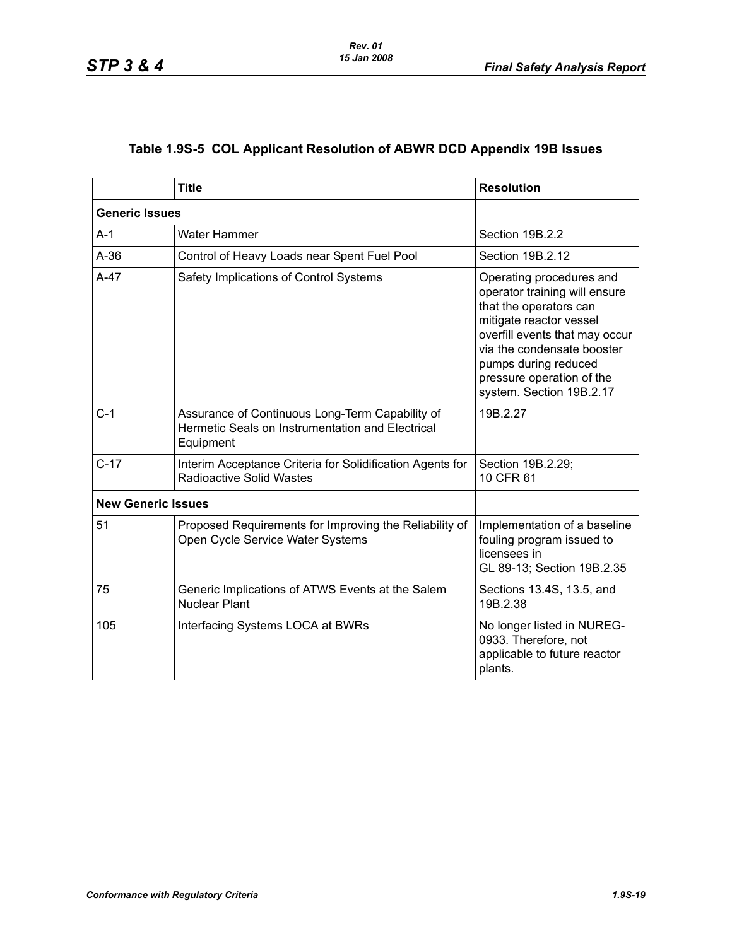# **Table 1.9S-5 COL Applicant Resolution of ABWR DCD Appendix 19B Issues**

|                           | <b>Title</b>                                                                                                     | <b>Resolution</b>                                                                                                                                                                                                                                               |
|---------------------------|------------------------------------------------------------------------------------------------------------------|-----------------------------------------------------------------------------------------------------------------------------------------------------------------------------------------------------------------------------------------------------------------|
| <b>Generic Issues</b>     |                                                                                                                  |                                                                                                                                                                                                                                                                 |
| $A-1$                     | <b>Water Hammer</b>                                                                                              | Section 19B.2.2                                                                                                                                                                                                                                                 |
| $A-36$                    | Control of Heavy Loads near Spent Fuel Pool                                                                      | Section 19B.2.12                                                                                                                                                                                                                                                |
| $A-47$                    | Safety Implications of Control Systems                                                                           | Operating procedures and<br>operator training will ensure<br>that the operators can<br>mitigate reactor vessel<br>overfill events that may occur<br>via the condensate booster<br>pumps during reduced<br>pressure operation of the<br>system. Section 19B.2.17 |
| $C-1$                     | Assurance of Continuous Long-Term Capability of<br>Hermetic Seals on Instrumentation and Electrical<br>Equipment | 19B.2.27                                                                                                                                                                                                                                                        |
| $C-17$                    | Interim Acceptance Criteria for Solidification Agents for<br><b>Radioactive Solid Wastes</b>                     | Section 19B.2.29;<br>10 CFR 61                                                                                                                                                                                                                                  |
| <b>New Generic Issues</b> |                                                                                                                  |                                                                                                                                                                                                                                                                 |
| 51                        | Proposed Requirements for Improving the Reliability of<br>Open Cycle Service Water Systems                       | Implementation of a baseline<br>fouling program issued to<br>licensees in<br>GL 89-13; Section 19B.2.35                                                                                                                                                         |
| 75                        | Generic Implications of ATWS Events at the Salem<br><b>Nuclear Plant</b>                                         | Sections 13.4S, 13.5, and<br>19B.2.38                                                                                                                                                                                                                           |
| 105                       | Interfacing Systems LOCA at BWRs                                                                                 | No longer listed in NUREG-<br>0933. Therefore, not<br>applicable to future reactor<br>plants.                                                                                                                                                                   |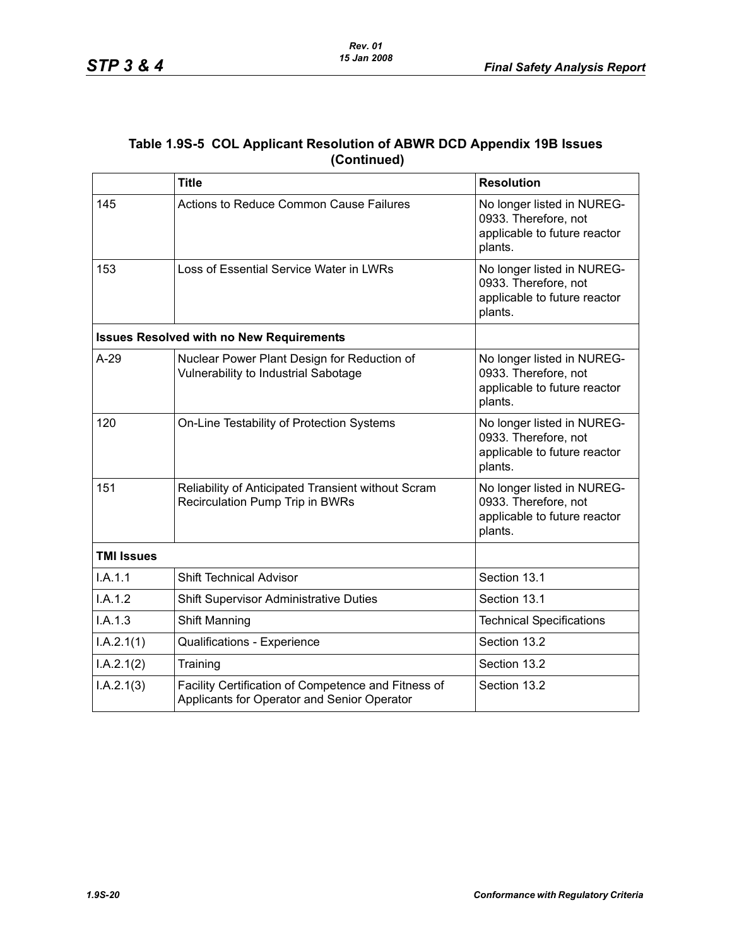| Table 1.9S-5 COL Applicant Resolution of ABWR DCD Appendix 19B Issues |
|-----------------------------------------------------------------------|
| (Continued)                                                           |

|                   | <b>Title</b>                                                                                       | <b>Resolution</b>                                                                             |
|-------------------|----------------------------------------------------------------------------------------------------|-----------------------------------------------------------------------------------------------|
| 145               | Actions to Reduce Common Cause Failures                                                            | No longer listed in NUREG-<br>0933. Therefore, not<br>applicable to future reactor<br>plants. |
| 153               | Loss of Essential Service Water in LWRs                                                            | No longer listed in NUREG-<br>0933. Therefore, not<br>applicable to future reactor<br>plants. |
|                   | <b>Issues Resolved with no New Requirements</b>                                                    |                                                                                               |
| $A-29$            | Nuclear Power Plant Design for Reduction of<br>Vulnerability to Industrial Sabotage                | No longer listed in NUREG-<br>0933. Therefore, not<br>applicable to future reactor<br>plants. |
| 120               | On-Line Testability of Protection Systems                                                          | No longer listed in NUREG-<br>0933. Therefore, not<br>applicable to future reactor<br>plants. |
| 151               | Reliability of Anticipated Transient without Scram<br>Recirculation Pump Trip in BWRs              | No longer listed in NUREG-<br>0933. Therefore, not<br>applicable to future reactor<br>plants. |
| <b>TMI Issues</b> |                                                                                                    |                                                                                               |
| I.A.1.1           | <b>Shift Technical Advisor</b>                                                                     | Section 13.1                                                                                  |
| I.A.1.2           | <b>Shift Supervisor Administrative Duties</b>                                                      | Section 13.1                                                                                  |
| I.A.1.3           | Shift Manning                                                                                      | <b>Technical Specifications</b>                                                               |
| I.A.2.1(1)        | Qualifications - Experience                                                                        | Section 13.2                                                                                  |
| I.A.2.1(2)        | Training                                                                                           | Section 13.2                                                                                  |
| I.A.2.1(3)        | Facility Certification of Competence and Fitness of<br>Applicants for Operator and Senior Operator | Section 13.2                                                                                  |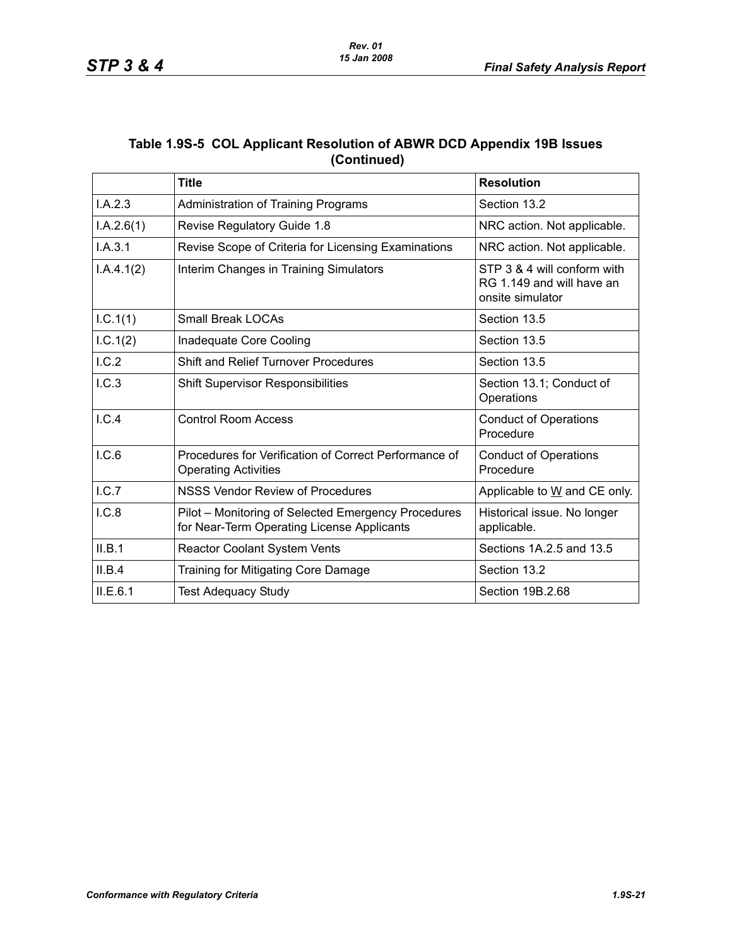| Table 1.9S-5 COL Applicant Resolution of ABWR DCD Appendix 19B Issues |
|-----------------------------------------------------------------------|
| (Continued)                                                           |

|            | <b>Title</b>                                                                                      | <b>Resolution</b>                                                            |
|------------|---------------------------------------------------------------------------------------------------|------------------------------------------------------------------------------|
| I.A.2.3    | <b>Administration of Training Programs</b>                                                        | Section 13.2                                                                 |
| I.A.2.6(1) | Revise Regulatory Guide 1.8                                                                       | NRC action. Not applicable.                                                  |
| I.A.3.1    | Revise Scope of Criteria for Licensing Examinations                                               | NRC action. Not applicable.                                                  |
| I.A.4.1(2) | Interim Changes in Training Simulators                                                            | STP 3 & 4 will conform with<br>RG 1.149 and will have an<br>onsite simulator |
| I.C.1(1)   | <b>Small Break LOCAs</b>                                                                          | Section 13.5                                                                 |
| 1.C.1(2)   | Inadequate Core Cooling                                                                           | Section 13.5                                                                 |
| I.C.2      | <b>Shift and Relief Turnover Procedures</b>                                                       | Section 13.5                                                                 |
| 1.C.3      | <b>Shift Supervisor Responsibilities</b>                                                          | Section 13.1; Conduct of<br>Operations                                       |
| I.C.4      | <b>Control Room Access</b>                                                                        | <b>Conduct of Operations</b><br>Procedure                                    |
| I.C.6      | Procedures for Verification of Correct Performance of<br><b>Operating Activities</b>              | <b>Conduct of Operations</b><br>Procedure                                    |
| I.C.7      | NSSS Vendor Review of Procedures                                                                  | Applicable to W and CE only.                                                 |
| I.C.8      | Pilot - Monitoring of Selected Emergency Procedures<br>for Near-Term Operating License Applicants | Historical issue. No longer<br>applicable.                                   |
| II.B.1     | Reactor Coolant System Vents                                                                      | Sections 1A.2.5 and 13.5                                                     |
| II.B.4     | Training for Mitigating Core Damage                                                               | Section 13.2                                                                 |
| II.E.6.1   | <b>Test Adequacy Study</b>                                                                        | Section 19B.2.68                                                             |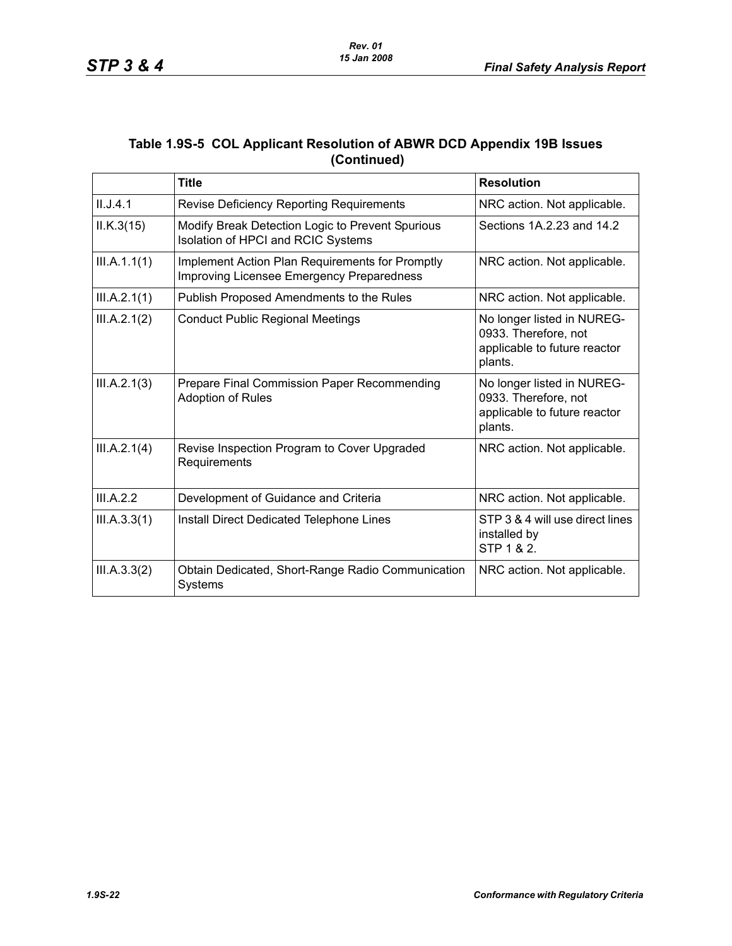| Table 1.9S-5 COL Applicant Resolution of ABWR DCD Appendix 19B Issues |
|-----------------------------------------------------------------------|
| (Continued)                                                           |

|              | <b>Title</b>                                                                                 | <b>Resolution</b>                                                                             |
|--------------|----------------------------------------------------------------------------------------------|-----------------------------------------------------------------------------------------------|
| II.J.4.1     | <b>Revise Deficiency Reporting Requirements</b>                                              | NRC action. Not applicable.                                                                   |
| ILK.3(15)    | Modify Break Detection Logic to Prevent Spurious<br>Isolation of HPCI and RCIC Systems       | Sections 1A 2.23 and 14.2                                                                     |
| III.A.1.1(1) | Implement Action Plan Requirements for Promptly<br>Improving Licensee Emergency Preparedness | NRC action. Not applicable.                                                                   |
| III.A.2.1(1) | Publish Proposed Amendments to the Rules                                                     | NRC action. Not applicable.                                                                   |
| III.A.2.1(2) | <b>Conduct Public Regional Meetings</b>                                                      | No longer listed in NUREG-<br>0933. Therefore, not<br>applicable to future reactor<br>plants. |
| III.A.2.1(3) | Prepare Final Commission Paper Recommending<br><b>Adoption of Rules</b>                      | No longer listed in NUREG-<br>0933. Therefore, not<br>applicable to future reactor<br>plants. |
| III.A.2.1(4) | Revise Inspection Program to Cover Upgraded<br>Requirements                                  | NRC action. Not applicable.                                                                   |
| III.A.2.2    | Development of Guidance and Criteria                                                         | NRC action. Not applicable.                                                                   |
| III.A.3.3(1) | Install Direct Dedicated Telephone Lines                                                     | STP 3 & 4 will use direct lines<br>installed by<br>STP 1 & 2.                                 |
| III.A.3.3(2) | Obtain Dedicated, Short-Range Radio Communication<br><b>Systems</b>                          | NRC action. Not applicable.                                                                   |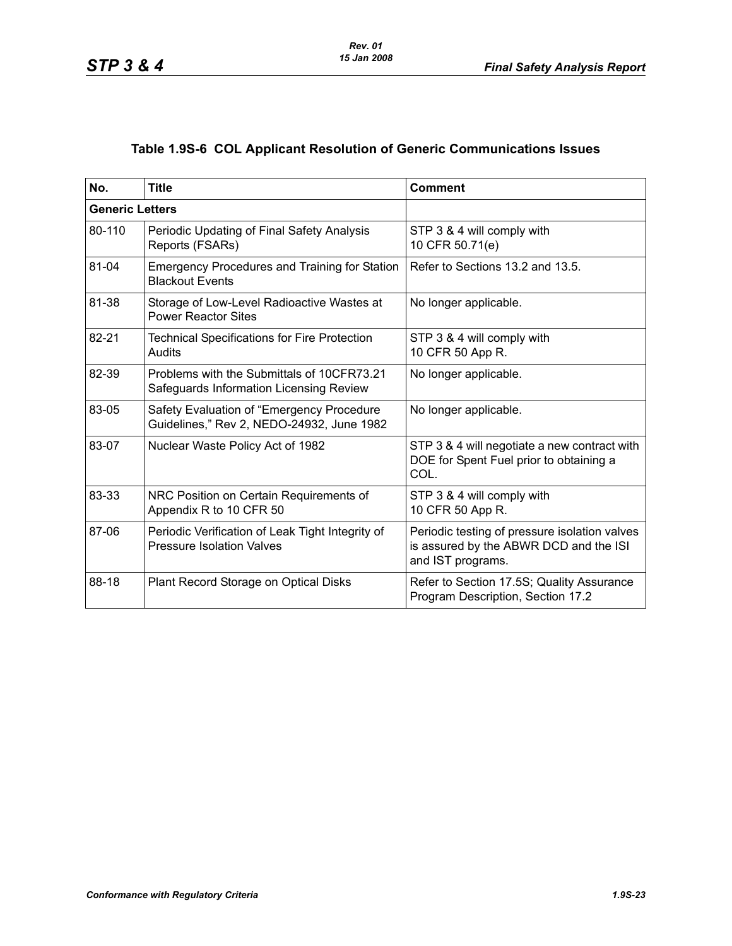# **Table 1.9S-6 COL Applicant Resolution of Generic Communications Issues**

| No.                    | <b>Title</b>                                                                           | <b>Comment</b>                                                                                               |
|------------------------|----------------------------------------------------------------------------------------|--------------------------------------------------------------------------------------------------------------|
| <b>Generic Letters</b> |                                                                                        |                                                                                                              |
| 80-110                 | Periodic Updating of Final Safety Analysis<br>Reports (FSARs)                          | STP 3 & 4 will comply with<br>10 CFR 50.71(e)                                                                |
| 81-04                  | <b>Emergency Procedures and Training for Station</b><br><b>Blackout Events</b>         | Refer to Sections 13.2 and 13.5.                                                                             |
| 81-38                  | Storage of Low-Level Radioactive Wastes at<br><b>Power Reactor Sites</b>               | No longer applicable.                                                                                        |
| 82-21                  | <b>Technical Specifications for Fire Protection</b><br>Audits                          | STP 3 & 4 will comply with<br>10 CFR 50 App R.                                                               |
| 82-39                  | Problems with the Submittals of 10CFR73.21<br>Safeguards Information Licensing Review  | No longer applicable.                                                                                        |
| 83-05                  | Safety Evaluation of "Emergency Procedure<br>Guidelines," Rev 2, NEDO-24932, June 1982 | No longer applicable.                                                                                        |
| 83-07                  | Nuclear Waste Policy Act of 1982                                                       | STP 3 & 4 will negotiate a new contract with<br>DOE for Spent Fuel prior to obtaining a<br>COL.              |
| 83-33                  | NRC Position on Certain Requirements of<br>Appendix R to 10 CFR 50                     | STP 3 & 4 will comply with<br>10 CFR 50 App R.                                                               |
| 87-06                  | Periodic Verification of Leak Tight Integrity of<br><b>Pressure Isolation Valves</b>   | Periodic testing of pressure isolation valves<br>is assured by the ABWR DCD and the ISI<br>and IST programs. |
| 88-18                  | Plant Record Storage on Optical Disks                                                  | Refer to Section 17.5S; Quality Assurance<br>Program Description, Section 17.2                               |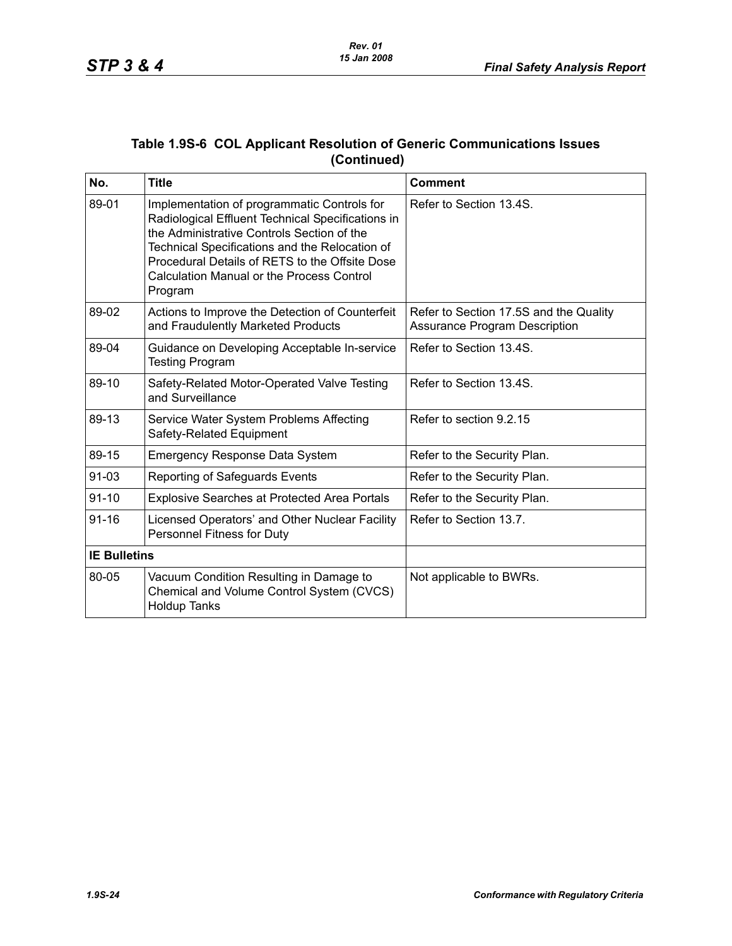| Table 1.9S-6  COL Applicant Resolution of Generic Communications Issues |
|-------------------------------------------------------------------------|
| (Continued)                                                             |

| No.                 | <b>Title</b>                                                                                                                                                                                                                                                                                                      | <b>Comment</b>                                                                 |
|---------------------|-------------------------------------------------------------------------------------------------------------------------------------------------------------------------------------------------------------------------------------------------------------------------------------------------------------------|--------------------------------------------------------------------------------|
| 89-01               | Implementation of programmatic Controls for<br>Radiological Effluent Technical Specifications in<br>the Administrative Controls Section of the<br>Technical Specifications and the Relocation of<br>Procedural Details of RETS to the Offsite Dose<br><b>Calculation Manual or the Process Control</b><br>Program | Refer to Section 13.4S.                                                        |
| 89-02               | Actions to Improve the Detection of Counterfeit<br>and Fraudulently Marketed Products                                                                                                                                                                                                                             | Refer to Section 17.5S and the Quality<br><b>Assurance Program Description</b> |
| 89-04               | Guidance on Developing Acceptable In-service<br><b>Testing Program</b>                                                                                                                                                                                                                                            | Refer to Section 13.4S.                                                        |
| 89-10               | Safety-Related Motor-Operated Valve Testing<br>and Surveillance                                                                                                                                                                                                                                                   | Refer to Section 13.4S.                                                        |
| 89-13               | Service Water System Problems Affecting<br>Safety-Related Equipment                                                                                                                                                                                                                                               | Refer to section 9.2.15                                                        |
| 89-15               | <b>Emergency Response Data System</b>                                                                                                                                                                                                                                                                             | Refer to the Security Plan.                                                    |
| 91-03               | Reporting of Safeguards Events                                                                                                                                                                                                                                                                                    | Refer to the Security Plan.                                                    |
| $91 - 10$           | Explosive Searches at Protected Area Portals                                                                                                                                                                                                                                                                      | Refer to the Security Plan.                                                    |
| $91 - 16$           | Licensed Operators' and Other Nuclear Facility<br>Personnel Fitness for Duty                                                                                                                                                                                                                                      | Refer to Section 13.7.                                                         |
| <b>IE Bulletins</b> |                                                                                                                                                                                                                                                                                                                   |                                                                                |
| 80-05               | Vacuum Condition Resulting in Damage to<br>Chemical and Volume Control System (CVCS)<br><b>Holdup Tanks</b>                                                                                                                                                                                                       | Not applicable to BWRs.                                                        |